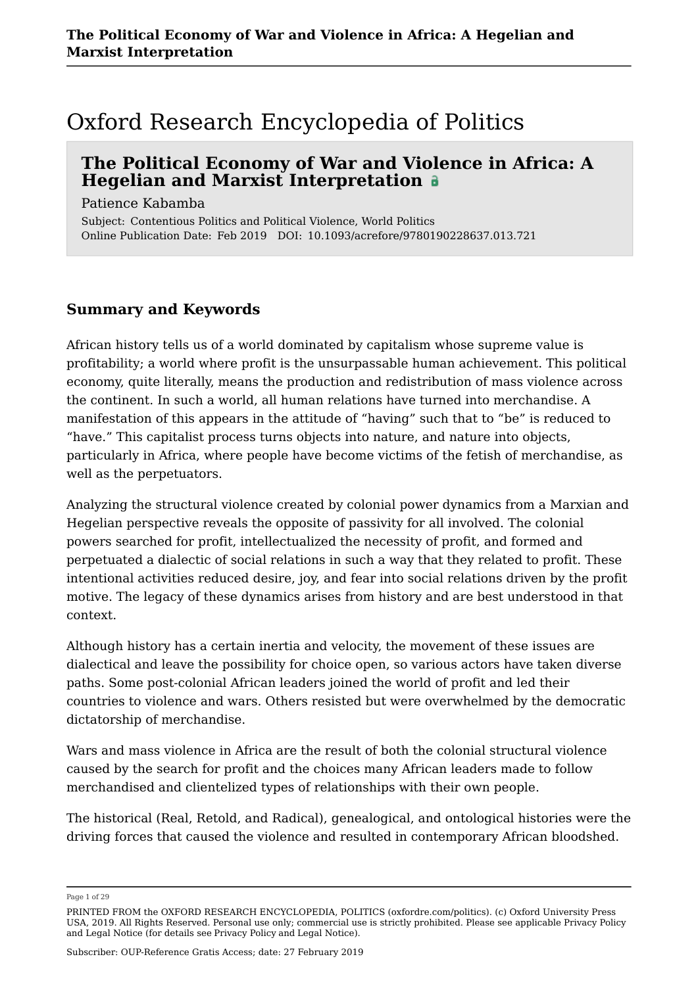### Oxford Research Encyclopedia of Politics

### **The Political Economy of War and Violence in Africa: A Hegelian and Marxist Interpretation**

Patience Kabamba

Subject: Contentious Politics and Political Violence, World Politics Online Publication Date: Feb 2019 DOI: 10.1093/acrefore/9780190228637.013.721

#### **Summary and Keywords**

African history tells us of a world dominated by capitalism whose supreme value is profitability; a world where profit is the unsurpassable human achievement. This political economy, quite literally, means the production and redistribution of mass violence across the continent. In such a world, all human relations have turned into merchandise. A manifestation of this appears in the attitude of "having" such that to "be" is reduced to "have." This capitalist process turns objects into nature, and nature into objects, particularly in Africa, where people have become victims of the fetish of merchandise, as well as the perpetuators.

Analyzing the structural violence created by colonial power dynamics from a Marxian and Hegelian perspective reveals the opposite of passivity for all involved. The colonial powers searched for profit, intellectualized the necessity of profit, and formed and perpetuated a dialectic of social relations in such a way that they related to profit. These intentional activities reduced desire, joy, and fear into social relations driven by the profit motive. The legacy of these dynamics arises from history and are best understood in that context.

Although history has a certain inertia and velocity, the movement of these issues are dialectical and leave the possibility for choice open, so various actors have taken diverse paths. Some post-colonial African leaders joined the world of profit and led their countries to violence and wars. Others resisted but were overwhelmed by the democratic dictatorship of merchandise.

Wars and mass violence in Africa are the result of both the colonial structural violence caused by the search for profit and the choices many African leaders made to follow merchandised and clientelized types of relationships with their own people.

The historical (Real, Retold, and Radical), genealogical, and ontological histories were the driving forces that caused the violence and resulted in contemporary African bloodshed.

Page 1 of 29

PRINTED FROM the OXFORD RESEARCH ENCYCLOPEDIA, POLITICS (oxfordre.com/politics). (c) Oxford University Press USA, 2019. All Rights Reserved. Personal use only; commercial use is strictly prohibited. Please see applicable Privacy Policy and Legal Notice (for details see Privacy Policy and Legal Notice).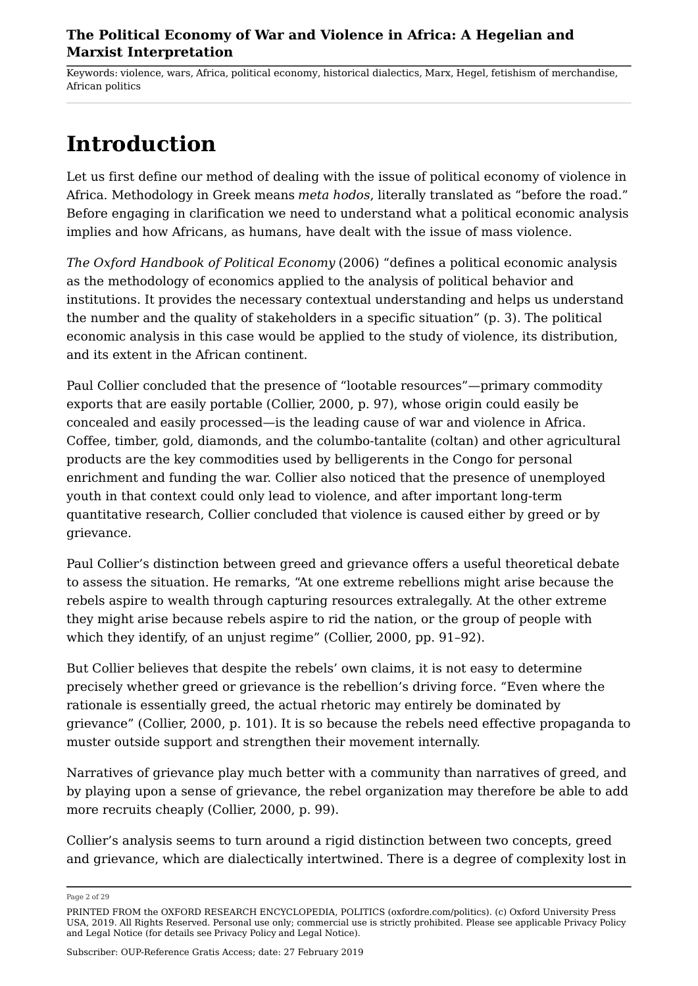Keywords: violence, wars, Africa, political economy, historical dialectics, Marx, Hegel, fetishism of merchandise, African politics

# **Introduction**

Let us first define our method of dealing with the issue of political economy of violence in Africa. Methodology in Greek means *meta hodos*, literally translated as "before the road." Before engaging in clarification we need to understand what a political economic analysis implies and how Africans, as humans, have dealt with the issue of mass violence.

*The Oxford Handbook of Political Economy* (2006) "defines a political economic analysis as the methodology of economics applied to the analysis of political behavior and institutions. It provides the necessary contextual understanding and helps us understand the number and the quality of stakeholders in a specific situation" (p. 3). The political economic analysis in this case would be applied to the study of violence, its distribution, and its extent in the African continent.

Paul Collier concluded that the presence of "lootable resources"—primary commodity exports that are easily portable (Collier, 2000, p. 97), whose origin could easily be concealed and easily processed—is the leading cause of war and violence in Africa. Coffee, timber, gold, diamonds, and the columbo-tantalite (coltan) and other agricultural products are the key commodities used by belligerents in the Congo for personal enrichment and funding the war. Collier also noticed that the presence of unemployed youth in that context could only lead to violence, and after important long-term quantitative research, Collier concluded that violence is caused either by greed or by grievance.

Paul Collier's distinction between greed and grievance offers a useful theoretical debate to assess the situation. He remarks, "At one extreme rebellions might arise because the rebels aspire to wealth through capturing resources extralegally. At the other extreme they might arise because rebels aspire to rid the nation, or the group of people with which they identify, of an unjust regime" (Collier, 2000, pp. 91-92).

But Collier believes that despite the rebels' own claims, it is not easy to determine precisely whether greed or grievance is the rebellion's driving force. "Even where the rationale is essentially greed, the actual rhetoric may entirely be dominated by grievance" (Collier, 2000, p. 101). It is so because the rebels need effective propaganda to muster outside support and strengthen their movement internally.

Narratives of grievance play much better with a community than narratives of greed, and by playing upon a sense of grievance, the rebel organization may therefore be able to add more recruits cheaply (Collier, 2000, p. 99).

Collier's analysis seems to turn around a rigid distinction between two concepts, greed and grievance, which are dialectically intertwined. There is a degree of complexity lost in

Page 2 of 29

PRINTED FROM the OXFORD RESEARCH ENCYCLOPEDIA, POLITICS (oxfordre.com/politics). (c) Oxford University Press USA, 2019. All Rights Reserved. Personal use only; commercial use is strictly prohibited. Please see applicable Privacy Policy and Legal Notice (for details see Privacy Policy and Legal Notice).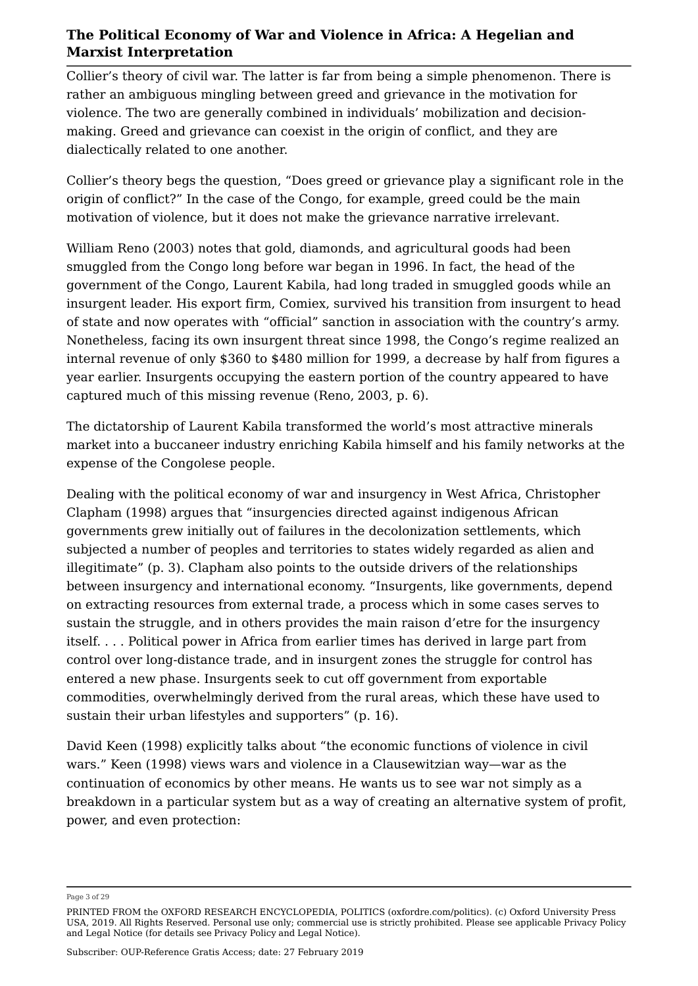Collier's theory of civil war. The latter is far from being a simple phenomenon. There is rather an ambiguous mingling between greed and grievance in the motivation for violence. The two are generally combined in individuals' mobilization and decisionmaking. Greed and grievance can coexist in the origin of conflict, and they are dialectically related to one another.

Collier's theory begs the question, "Does greed or grievance play a significant role in the origin of conflict?" In the case of the Congo, for example, greed could be the main motivation of violence, but it does not make the grievance narrative irrelevant.

William Reno (2003) notes that gold, diamonds, and agricultural goods had been smuggled from the Congo long before war began in 1996. In fact, the head of the government of the Congo, Laurent Kabila, had long traded in smuggled goods while an insurgent leader. His export firm, Comiex, survived his transition from insurgent to head of state and now operates with "official" sanction in association with the country's army. Nonetheless, facing its own insurgent threat since 1998, the Congo's regime realized an internal revenue of only \$360 to \$480 million for 1999, a decrease by half from figures a year earlier. Insurgents occupying the eastern portion of the country appeared to have captured much of this missing revenue (Reno, 2003, p. 6).

The dictatorship of Laurent Kabila transformed the world's most attractive minerals market into a buccaneer industry enriching Kabila himself and his family networks at the expense of the Congolese people.

Dealing with the political economy of war and insurgency in West Africa, Christopher Clapham (1998) argues that "insurgencies directed against indigenous African governments grew initially out of failures in the decolonization settlements, which subjected a number of peoples and territories to states widely regarded as alien and illegitimate" (p. 3). Clapham also points to the outside drivers of the relationships between insurgency and international economy. "Insurgents, like governments, depend on extracting resources from external trade, a process which in some cases serves to sustain the struggle, and in others provides the main raison d'etre for the insurgency itself. . . . Political power in Africa from earlier times has derived in large part from control over long-distance trade, and in insurgent zones the struggle for control has entered a new phase. Insurgents seek to cut off government from exportable commodities, overwhelmingly derived from the rural areas, which these have used to sustain their urban lifestyles and supporters" (p. 16).

David Keen (1998) explicitly talks about "the economic functions of violence in civil wars." Keen (1998) views wars and violence in a Clausewitzian way—war as the continuation of economics by other means. He wants us to see war not simply as a breakdown in a particular system but as a way of creating an alternative system of profit, power, and even protection:

Page 3 of 29

PRINTED FROM the OXFORD RESEARCH ENCYCLOPEDIA, POLITICS (oxfordre.com/politics). (c) Oxford University Press USA, 2019. All Rights Reserved. Personal use only; commercial use is strictly prohibited. Please see applicable Privacy Policy and Legal Notice (for details see Privacy Policy and Legal Notice).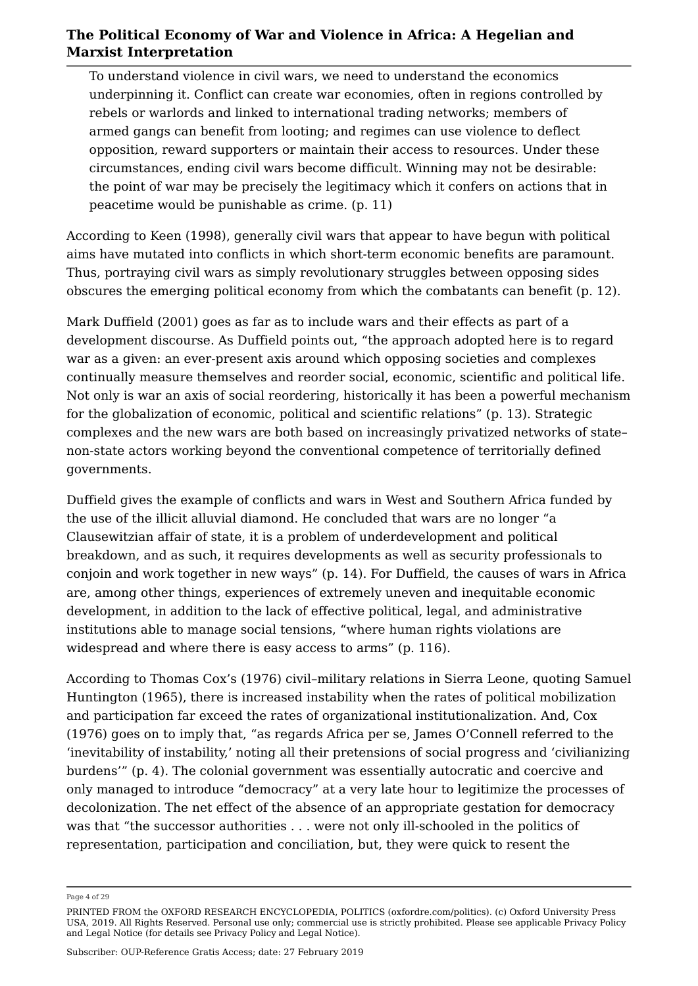To understand violence in civil wars, we need to understand the economics underpinning it. Conflict can create war economies, often in regions controlled by rebels or warlords and linked to international trading networks; members of armed gangs can benefit from looting; and regimes can use violence to deflect opposition, reward supporters or maintain their access to resources. Under these circumstances, ending civil wars become difficult. Winning may not be desirable: the point of war may be precisely the legitimacy which it confers on actions that in peacetime would be punishable as crime. (p. 11)

According to Keen (1998), generally civil wars that appear to have begun with political aims have mutated into conflicts in which short-term economic benefits are paramount. Thus, portraying civil wars as simply revolutionary struggles between opposing sides obscures the emerging political economy from which the combatants can benefit (p. 12).

Mark Duffield (2001) goes as far as to include wars and their effects as part of a development discourse. As Duffield points out, "the approach adopted here is to regard war as a given: an ever-present axis around which opposing societies and complexes continually measure themselves and reorder social, economic, scientific and political life. Not only is war an axis of social reordering, historically it has been a powerful mechanism for the globalization of economic, political and scientific relations" (p. 13). Strategic complexes and the new wars are both based on increasingly privatized networks of state– non-state actors working beyond the conventional competence of territorially defined governments.

Duffield gives the example of conflicts and wars in West and Southern Africa funded by the use of the illicit alluvial diamond. He concluded that wars are no longer "a Clausewitzian affair of state, it is a problem of underdevelopment and political breakdown, and as such, it requires developments as well as security professionals to conjoin and work together in new ways" (p. 14). For Duffield, the causes of wars in Africa are, among other things, experiences of extremely uneven and inequitable economic development, in addition to the lack of effective political, legal, and administrative institutions able to manage social tensions, "where human rights violations are widespread and where there is easy access to arms" (p. 116).

According to Thomas Cox's (1976) civil–military relations in Sierra Leone, quoting Samuel Huntington (1965), there is increased instability when the rates of political mobilization and participation far exceed the rates of organizational institutionalization. And, Cox (1976) goes on to imply that, "as regards Africa per se, James O'Connell referred to the 'inevitability of instability,' noting all their pretensions of social progress and 'civilianizing burdens'" (p. 4). The colonial government was essentially autocratic and coercive and only managed to introduce "democracy" at a very late hour to legitimize the processes of decolonization. The net effect of the absence of an appropriate gestation for democracy was that "the successor authorities . . . were not only ill-schooled in the politics of representation, participation and conciliation, but, they were quick to resent the

Page 4 of 29

PRINTED FROM the OXFORD RESEARCH ENCYCLOPEDIA, POLITICS (oxfordre.com/politics). (c) Oxford University Press USA, 2019. All Rights Reserved. Personal use only; commercial use is strictly prohibited. Please see applicable Privacy Policy and Legal Notice (for details see Privacy Policy and Legal Notice).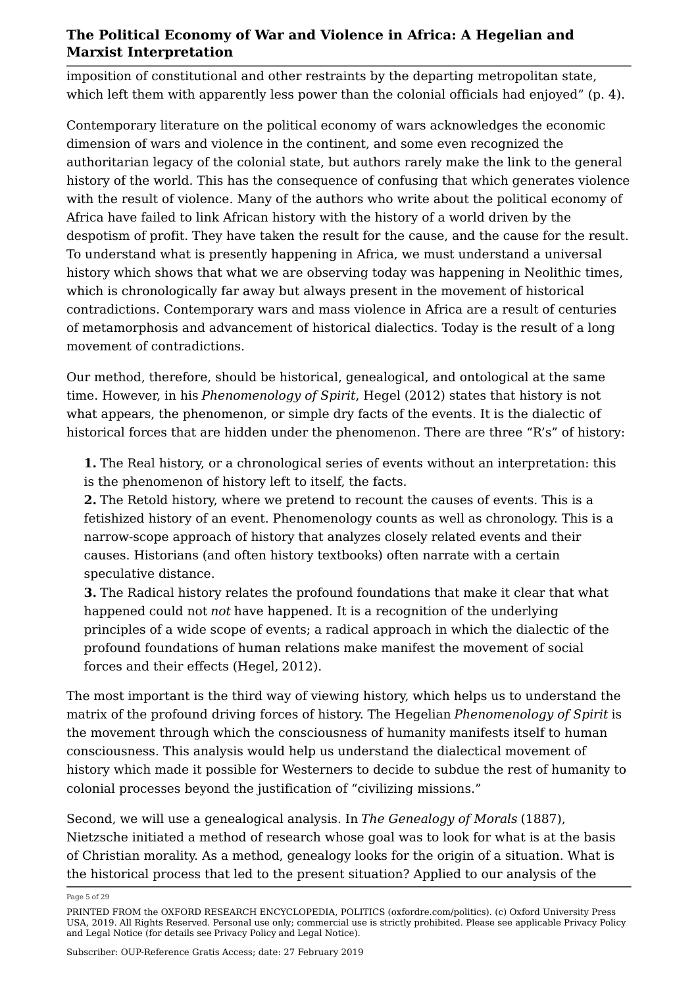imposition of constitutional and other restraints by the departing metropolitan state, which left them with apparently less power than the colonial officials had enjoyed" (p. 4).

Contemporary literature on the political economy of wars acknowledges the economic dimension of wars and violence in the continent, and some even recognized the authoritarian legacy of the colonial state, but authors rarely make the link to the general history of the world. This has the consequence of confusing that which generates violence with the result of violence. Many of the authors who write about the political economy of Africa have failed to link African history with the history of a world driven by the despotism of profit. They have taken the result for the cause, and the cause for the result. To understand what is presently happening in Africa, we must understand a universal history which shows that what we are observing today was happening in Neolithic times, which is chronologically far away but always present in the movement of historical contradictions. Contemporary wars and mass violence in Africa are a result of centuries of metamorphosis and advancement of historical dialectics. Today is the result of a long movement of contradictions.

Our method, therefore, should be historical, genealogical, and ontological at the same time. However, in his *Phenomenology of Spirit*, Hegel (2012) states that history is not what appears, the phenomenon, or simple dry facts of the events. It is the dialectic of historical forces that are hidden under the phenomenon. There are three "R's" of history:

**1.** The Real history, or a chronological series of events without an interpretation: this is the phenomenon of history left to itself, the facts.

**2.** The Retold history, where we pretend to recount the causes of events. This is a fetishized history of an event. Phenomenology counts as well as chronology. This is a narrow-scope approach of history that analyzes closely related events and their causes. Historians (and often history textbooks) often narrate with a certain speculative distance.

**3.** The Radical history relates the profound foundations that make it clear that what happened could not *not* have happened. It is a recognition of the underlying principles of a wide scope of events; a radical approach in which the dialectic of the profound foundations of human relations make manifest the movement of social forces and their effects (Hegel, 2012).

The most important is the third way of viewing history, which helps us to understand the matrix of the profound driving forces of history. The Hegelian *Phenomenology of Spirit* is the movement through which the consciousness of humanity manifests itself to human consciousness. This analysis would help us understand the dialectical movement of history which made it possible for Westerners to decide to subdue the rest of humanity to colonial processes beyond the justification of "civilizing missions."

Second, we will use a genealogical analysis. In *The Genealogy of Morals* (1887), Nietzsche initiated a method of research whose goal was to look for what is at the basis of Christian morality. As a method, genealogy looks for the origin of a situation. What is the historical process that led to the present situation? Applied to our analysis of the

Page 5 of 29

PRINTED FROM the OXFORD RESEARCH ENCYCLOPEDIA, POLITICS (oxfordre.com/politics). (c) Oxford University Press USA, 2019. All Rights Reserved. Personal use only; commercial use is strictly prohibited. Please see applicable Privacy Policy and Legal Notice (for details see Privacy Policy and Legal Notice).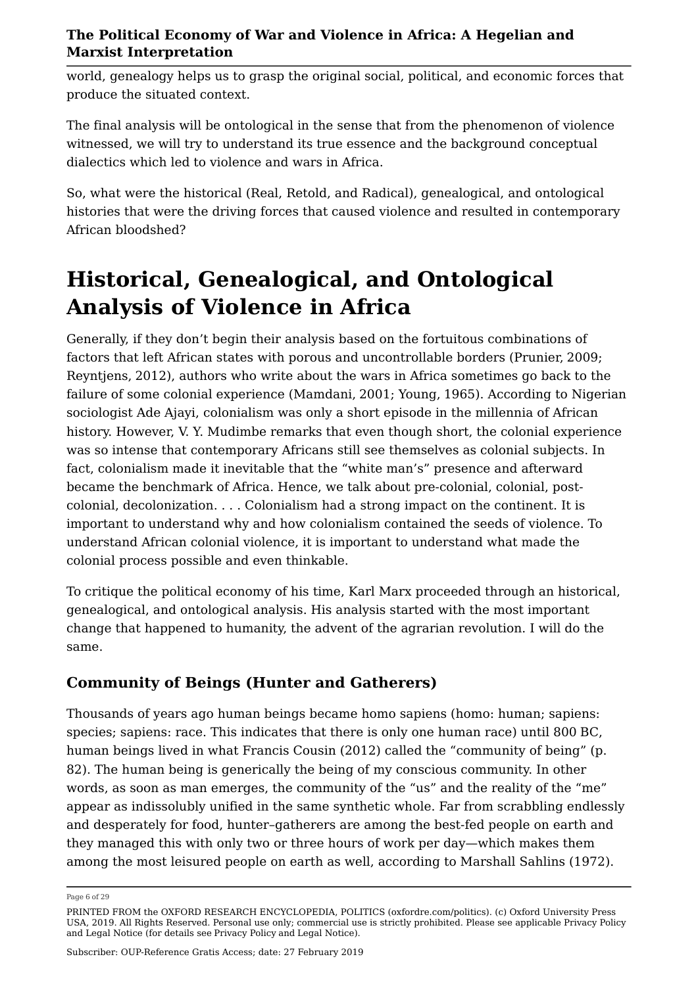world, genealogy helps us to grasp the original social, political, and economic forces that produce the situated context.

The final analysis will be ontological in the sense that from the phenomenon of violence witnessed, we will try to understand its true essence and the background conceptual dialectics which led to violence and wars in Africa.

So, what were the historical (Real, Retold, and Radical), genealogical, and ontological histories that were the driving forces that caused violence and resulted in contemporary African bloodshed?

# **Historical, Genealogical, and Ontological Analysis of Violence in Africa**

Generally, if they don't begin their analysis based on the fortuitous combinations of factors that left African states with porous and uncontrollable borders (Prunier, 2009; Reyntjens, 2012), authors who write about the wars in Africa sometimes go back to the failure of some colonial experience (Mamdani, 2001; Young, 1965). According to Nigerian sociologist Ade Ajayi, colonialism was only a short episode in the millennia of African history. However, V. Y. Mudimbe remarks that even though short, the colonial experience was so intense that contemporary Africans still see themselves as colonial subjects. In fact, colonialism made it inevitable that the "white man's" presence and afterward became the benchmark of Africa. Hence, we talk about pre-colonial, colonial, postcolonial, decolonization. . . . Colonialism had a strong impact on the continent. It is important to understand why and how colonialism contained the seeds of violence. To understand African colonial violence, it is important to understand what made the colonial process possible and even thinkable.

To critique the political economy of his time, Karl Marx proceeded through an historical, genealogical, and ontological analysis. His analysis started with the most important change that happened to humanity, the advent of the agrarian revolution. I will do the same.

### **Community of Beings (Hunter and Gatherers)**

Thousands of years ago human beings became homo sapiens (homo: human; sapiens: species; sapiens: race. This indicates that there is only one human race) until 800 BC, human beings lived in what Francis Cousin (2012) called the "community of being" (p. 82). The human being is generically the being of my conscious community. In other words, as soon as man emerges, the community of the "us" and the reality of the "me" appear as indissolubly unified in the same synthetic whole. Far from scrabbling endlessly and desperately for food, hunter–gatherers are among the best-fed people on earth and they managed this with only two or three hours of work per day—which makes them among the most leisured people on earth as well, according to Marshall Sahlins (1972).

Page 6 of 29

PRINTED FROM the OXFORD RESEARCH ENCYCLOPEDIA, POLITICS (oxfordre.com/politics). (c) Oxford University Press USA, 2019. All Rights Reserved. Personal use only; commercial use is strictly prohibited. Please see applicable Privacy Policy and Legal Notice (for details see Privacy Policy and Legal Notice).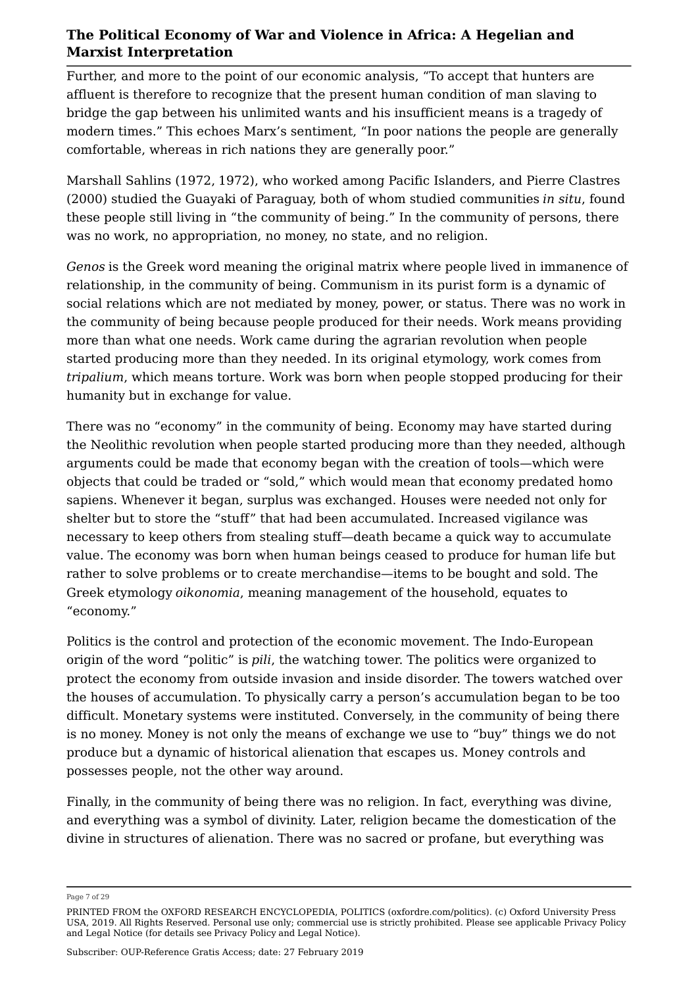Further, and more to the point of our economic analysis, "To accept that hunters are affluent is therefore to recognize that the present human condition of man slaving to bridge the gap between his unlimited wants and his insufficient means is a tragedy of modern times." This echoes Marx's sentiment, "In poor nations the people are generally comfortable, whereas in rich nations they are generally poor."

Marshall Sahlins (1972, 1972), who worked among Pacific Islanders, and Pierre Clastres (2000) studied the Guayaki of Paraguay, both of whom studied communities *in situ*, found these people still living in "the community of being." In the community of persons, there was no work, no appropriation, no money, no state, and no religion.

*Genos* is the Greek word meaning the original matrix where people lived in immanence of relationship, in the community of being. Communism in its purist form is a dynamic of social relations which are not mediated by money, power, or status. There was no work in the community of being because people produced for their needs. Work means providing more than what one needs. Work came during the agrarian revolution when people started producing more than they needed. In its original etymology, work comes from *tripalium*, which means torture. Work was born when people stopped producing for their humanity but in exchange for value.

There was no "economy" in the community of being. Economy may have started during the Neolithic revolution when people started producing more than they needed, although arguments could be made that economy began with the creation of tools—which were objects that could be traded or "sold," which would mean that economy predated homo sapiens. Whenever it began, surplus was exchanged. Houses were needed not only for shelter but to store the "stuff" that had been accumulated. Increased vigilance was necessary to keep others from stealing stuff—death became a quick way to accumulate value. The economy was born when human beings ceased to produce for human life but rather to solve problems or to create merchandise—items to be bought and sold. The Greek etymology *oikonomia*, meaning management of the household, equates to "economy."

Politics is the control and protection of the economic movement. The Indo-European origin of the word "politic" is *pili*, the watching tower. The politics were organized to protect the economy from outside invasion and inside disorder. The towers watched over the houses of accumulation. To physically carry a person's accumulation began to be too difficult. Monetary systems were instituted. Conversely, in the community of being there is no money. Money is not only the means of exchange we use to "buy" things we do not produce but a dynamic of historical alienation that escapes us. Money controls and possesses people, not the other way around.

Finally, in the community of being there was no religion. In fact, everything was divine, and everything was a symbol of divinity. Later, religion became the domestication of the divine in structures of alienation. There was no sacred or profane, but everything was

Page 7 of 29

PRINTED FROM the OXFORD RESEARCH ENCYCLOPEDIA, POLITICS (oxfordre.com/politics). (c) Oxford University Press USA, 2019. All Rights Reserved. Personal use only; commercial use is strictly prohibited. Please see applicable Privacy Policy and Legal Notice (for details see Privacy Policy and Legal Notice).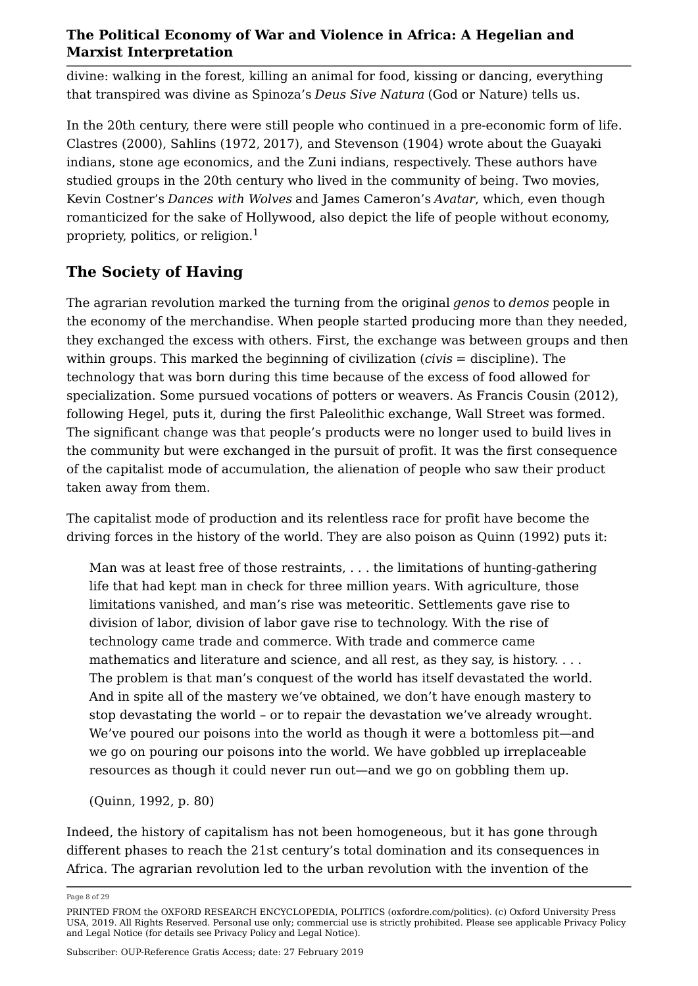divine: walking in the forest, killing an animal for food, kissing or dancing, everything that transpired was divine as Spinoza's *Deus Sive Natura* (God or Nature) tells us.

In the 20th century, there were still people who continued in a pre-economic form of life. Clastres (2000), Sahlins (1972, 2017), and Stevenson (1904) wrote about the Guayaki indians, stone age economics, and the Zuni indians, respectively. These authors have studied groups in the 20th century who lived in the community of being. Two movies, Kevin Costner's *Dances with Wolves* and James Cameron's *Avatar*, which, even though romanticized for the sake of Hollywood, also depict the life of people without economy, propriety, politics, or religion.<sup>1</sup>

### **The Society of Having**

The agrarian revolution marked the turning from the original *genos* to *demos* people in the economy of the merchandise. When people started producing more than they needed, they exchanged the excess with others. First, the exchange was between groups and then within groups. This marked the beginning of civilization (*civis* = discipline). The technology that was born during this time because of the excess of food allowed for specialization. Some pursued vocations of potters or weavers. As Francis Cousin (2012), following Hegel, puts it, during the first Paleolithic exchange, Wall Street was formed. The significant change was that people's products were no longer used to build lives in the community but were exchanged in the pursuit of profit. It was the first consequence of the capitalist mode of accumulation, the alienation of people who saw their product taken away from them.

The capitalist mode of production and its relentless race for profit have become the driving forces in the history of the world. They are also poison as Quinn (1992) puts it:

Man was at least free of those restraints, . . . the limitations of hunting-gathering life that had kept man in check for three million years. With agriculture, those limitations vanished, and man's rise was meteoritic. Settlements gave rise to division of labor, division of labor gave rise to technology. With the rise of technology came trade and commerce. With trade and commerce came mathematics and literature and science, and all rest, as they say, is history. . . . The problem is that man's conquest of the world has itself devastated the world. And in spite all of the mastery we've obtained, we don't have enough mastery to stop devastating the world – or to repair the devastation we've already wrought. We've poured our poisons into the world as though it were a bottomless pit—and we go on pouring our poisons into the world. We have gobbled up irreplaceable resources as though it could never run out—and we go on gobbling them up.

(Quinn, 1992, p. 80)

Indeed, the history of capitalism has not been homogeneous, but it has gone through different phases to reach the 21st century's total domination and its consequences in Africa. The agrarian revolution led to the urban revolution with the invention of the

Page 8 of 29

PRINTED FROM the OXFORD RESEARCH ENCYCLOPEDIA, POLITICS (oxfordre.com/politics). (c) Oxford University Press USA, 2019. All Rights Reserved. Personal use only; commercial use is strictly prohibited. Please see applicable Privacy Policy and Legal Notice (for details see Privacy Policy and Legal Notice).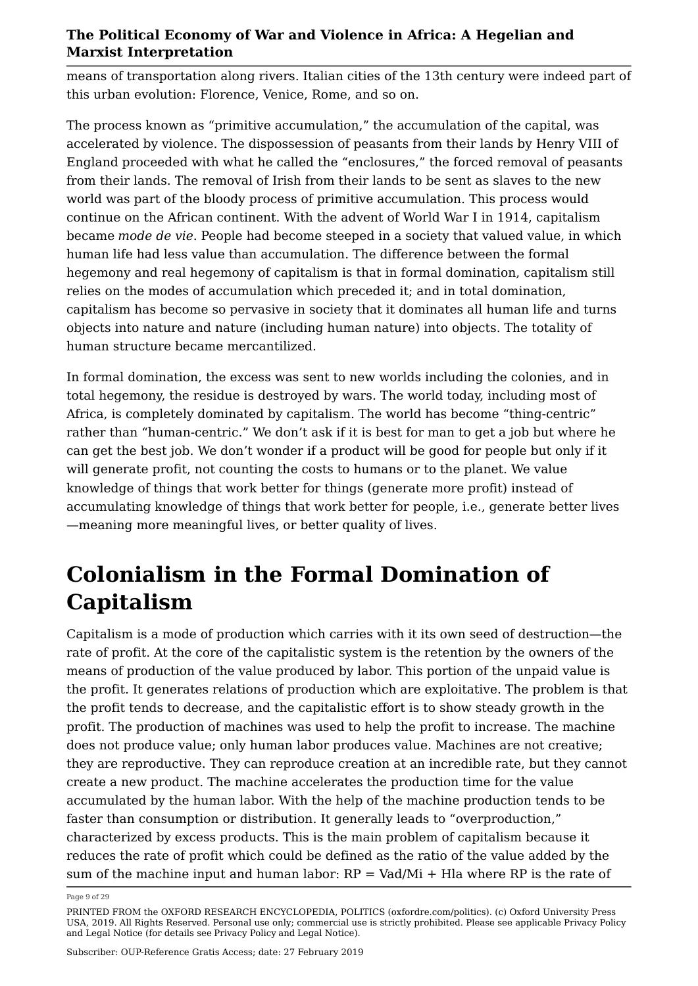means of transportation along rivers. Italian cities of the 13th century were indeed part of this urban evolution: Florence, Venice, Rome, and so on.

The process known as "primitive accumulation," the accumulation of the capital, was accelerated by violence. The dispossession of peasants from their lands by Henry VIII of England proceeded with what he called the "enclosures," the forced removal of peasants from their lands. The removal of Irish from their lands to be sent as slaves to the new world was part of the bloody process of primitive accumulation. This process would continue on the African continent. With the advent of World War I in 1914, capitalism became *mode de vie*. People had become steeped in a society that valued value, in which human life had less value than accumulation. The difference between the formal hegemony and real hegemony of capitalism is that in formal domination, capitalism still relies on the modes of accumulation which preceded it; and in total domination, capitalism has become so pervasive in society that it dominates all human life and turns objects into nature and nature (including human nature) into objects. The totality of human structure became mercantilized.

In formal domination, the excess was sent to new worlds including the colonies, and in total hegemony, the residue is destroyed by wars. The world today, including most of Africa, is completely dominated by capitalism. The world has become "thing-centric" rather than "human-centric." We don't ask if it is best for man to get a job but where he can get the best job. We don't wonder if a product will be good for people but only if it will generate profit, not counting the costs to humans or to the planet. We value knowledge of things that work better for things (generate more profit) instead of accumulating knowledge of things that work better for people, i.e., generate better lives —meaning more meaningful lives, or better quality of lives.

### **Colonialism in the Formal Domination of Capitalism**

Capitalism is a mode of production which carries with it its own seed of destruction—the rate of profit. At the core of the capitalistic system is the retention by the owners of the means of production of the value produced by labor. This portion of the unpaid value is the profit. It generates relations of production which are exploitative. The problem is that the profit tends to decrease, and the capitalistic effort is to show steady growth in the profit. The production of machines was used to help the profit to increase. The machine does not produce value; only human labor produces value. Machines are not creative; they are reproductive. They can reproduce creation at an incredible rate, but they cannot create a new product. The machine accelerates the production time for the value accumulated by the human labor. With the help of the machine production tends to be faster than consumption or distribution. It generally leads to "overproduction," characterized by excess products. This is the main problem of capitalism because it reduces the rate of profit which could be defined as the ratio of the value added by the sum of the machine input and human labor:  $RP = Vad/Mi + Hla$  where RP is the rate of

Page 9 of 29

PRINTED FROM the OXFORD RESEARCH ENCYCLOPEDIA, POLITICS (oxfordre.com/politics). (c) Oxford University Press USA, 2019. All Rights Reserved. Personal use only; commercial use is strictly prohibited. Please see applicable Privacy Policy and Legal Notice (for details see Privacy Policy and Legal Notice).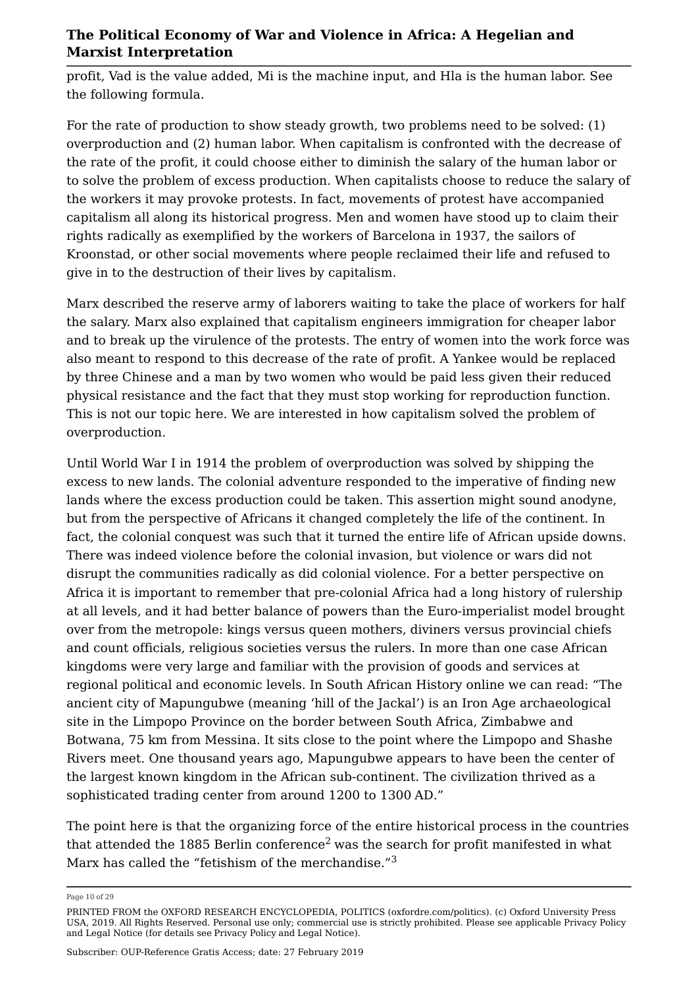profit, Vad is the value added, Mi is the machine input, and Hla is the human labor. See the following formula.

For the rate of production to show steady growth, two problems need to be solved: (1) overproduction and (2) human labor. When capitalism is confronted with the decrease of the rate of the profit, it could choose either to diminish the salary of the human labor or to solve the problem of excess production. When capitalists choose to reduce the salary of the workers it may provoke protests. In fact, movements of protest have accompanied capitalism all along its historical progress. Men and women have stood up to claim their rights radically as exemplified by the workers of Barcelona in 1937, the sailors of Kroonstad, or other social movements where people reclaimed their life and refused to give in to the destruction of their lives by capitalism.

Marx described the reserve army of laborers waiting to take the place of workers for half the salary. Marx also explained that capitalism engineers immigration for cheaper labor and to break up the virulence of the protests. The entry of women into the work force was also meant to respond to this decrease of the rate of profit. A Yankee would be replaced by three Chinese and a man by two women who would be paid less given their reduced physical resistance and the fact that they must stop working for reproduction function. This is not our topic here. We are interested in how capitalism solved the problem of overproduction.

Until World War I in 1914 the problem of overproduction was solved by shipping the excess to new lands. The colonial adventure responded to the imperative of finding new lands where the excess production could be taken. This assertion might sound anodyne, but from the perspective of Africans it changed completely the life of the continent. In fact, the colonial conquest was such that it turned the entire life of African upside downs. There was indeed violence before the colonial invasion, but violence or wars did not disrupt the communities radically as did colonial violence. For a better perspective on Africa it is important to remember that pre-colonial Africa had a long history of rulership at all levels, and it had better balance of powers than the Euro-imperialist model brought over from the metropole: kings versus queen mothers, diviners versus provincial chiefs and count officials, religious societies versus the rulers. In more than one case African kingdoms were very large and familiar with the provision of goods and services at regional political and economic levels. In South African History online we can read: "The ancient city of Mapungubwe (meaning 'hill of the Jackal') is an Iron Age archaeological site in the Limpopo Province on the border between South Africa, Zimbabwe and Botwana, 75 km from Messina. It sits close to the point where the Limpopo and Shashe Rivers meet. One thousand years ago, Mapungubwe appears to have been the center of the largest known kingdom in the African sub-continent. The civilization thrived as a sophisticated trading center from around 1200 to 1300 AD."

The point here is that the organizing force of the entire historical process in the countries that attended the 1885 Berlin conference<sup>2</sup> was the search for profit manifested in what Marx has called the "fetishism of the merchandise."<sup>3</sup>

Page 10 of 29

PRINTED FROM the OXFORD RESEARCH ENCYCLOPEDIA, POLITICS (oxfordre.com/politics). (c) Oxford University Press USA, 2019. All Rights Reserved. Personal use only; commercial use is strictly prohibited. Please see applicable Privacy Policy and Legal Notice (for details see Privacy Policy and Legal Notice).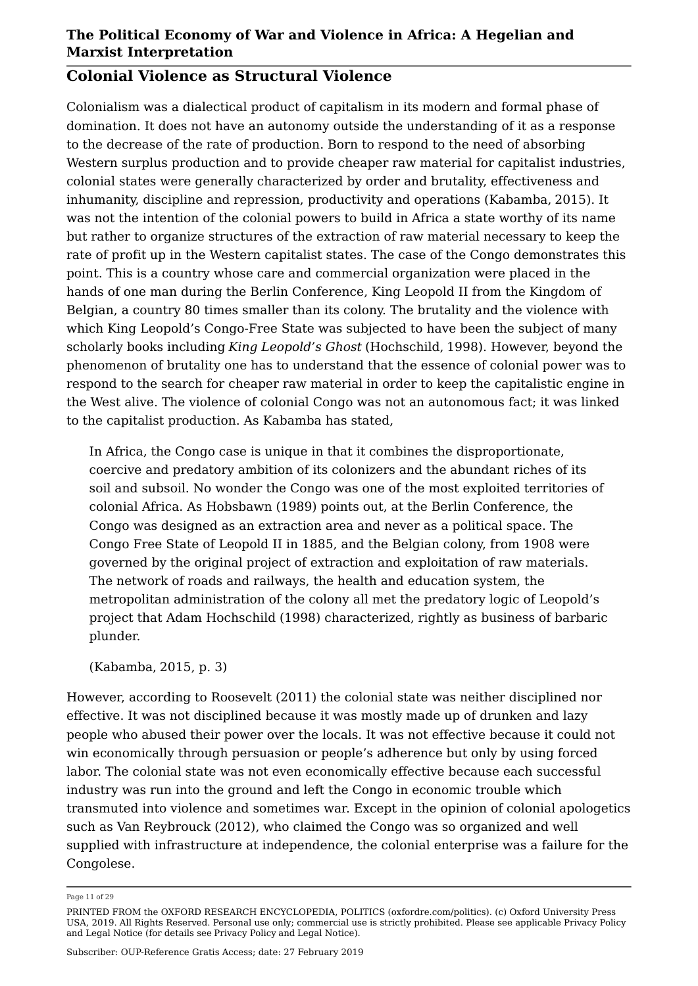#### **Colonial Violence as Structural Violence**

Colonialism was a dialectical product of capitalism in its modern and formal phase of domination. It does not have an autonomy outside the understanding of it as a response to the decrease of the rate of production. Born to respond to the need of absorbing Western surplus production and to provide cheaper raw material for capitalist industries, colonial states were generally characterized by order and brutality, effectiveness and inhumanity, discipline and repression, productivity and operations (Kabamba, 2015). It was not the intention of the colonial powers to build in Africa a state worthy of its name but rather to organize structures of the extraction of raw material necessary to keep the rate of profit up in the Western capitalist states. The case of the Congo demonstrates this point. This is a country whose care and commercial organization were placed in the hands of one man during the Berlin Conference, King Leopold II from the Kingdom of Belgian, a country 80 times smaller than its colony. The brutality and the violence with which King Leopold's Congo-Free State was subjected to have been the subject of many scholarly books including *King Leopold's Ghost* (Hochschild, 1998). However, beyond the phenomenon of brutality one has to understand that the essence of colonial power was to respond to the search for cheaper raw material in order to keep the capitalistic engine in the West alive. The violence of colonial Congo was not an autonomous fact; it was linked to the capitalist production. As Kabamba has stated,

In Africa, the Congo case is unique in that it combines the disproportionate, coercive and predatory ambition of its colonizers and the abundant riches of its soil and subsoil. No wonder the Congo was one of the most exploited territories of colonial Africa. As Hobsbawn (1989) points out, at the Berlin Conference, the Congo was designed as an extraction area and never as a political space. The Congo Free State of Leopold II in 1885, and the Belgian colony, from 1908 were governed by the original project of extraction and exploitation of raw materials. The network of roads and railways, the health and education system, the metropolitan administration of the colony all met the predatory logic of Leopold's project that Adam Hochschild (1998) characterized, rightly as business of barbaric plunder.

(Kabamba, 2015, p. 3)

However, according to Roosevelt (2011) the colonial state was neither disciplined nor effective. It was not disciplined because it was mostly made up of drunken and lazy people who abused their power over the locals. It was not effective because it could not win economically through persuasion or people's adherence but only by using forced labor. The colonial state was not even economically effective because each successful industry was run into the ground and left the Congo in economic trouble which transmuted into violence and sometimes war. Except in the opinion of colonial apologetics such as Van Reybrouck (2012), who claimed the Congo was so organized and well supplied with infrastructure at independence, the colonial enterprise was a failure for the Congolese.

Page 11 of 29

PRINTED FROM the OXFORD RESEARCH ENCYCLOPEDIA, POLITICS (oxfordre.com/politics). (c) Oxford University Press USA, 2019. All Rights Reserved. Personal use only; commercial use is strictly prohibited. Please see applicable Privacy Policy and Legal Notice (for details see Privacy Policy and Legal Notice).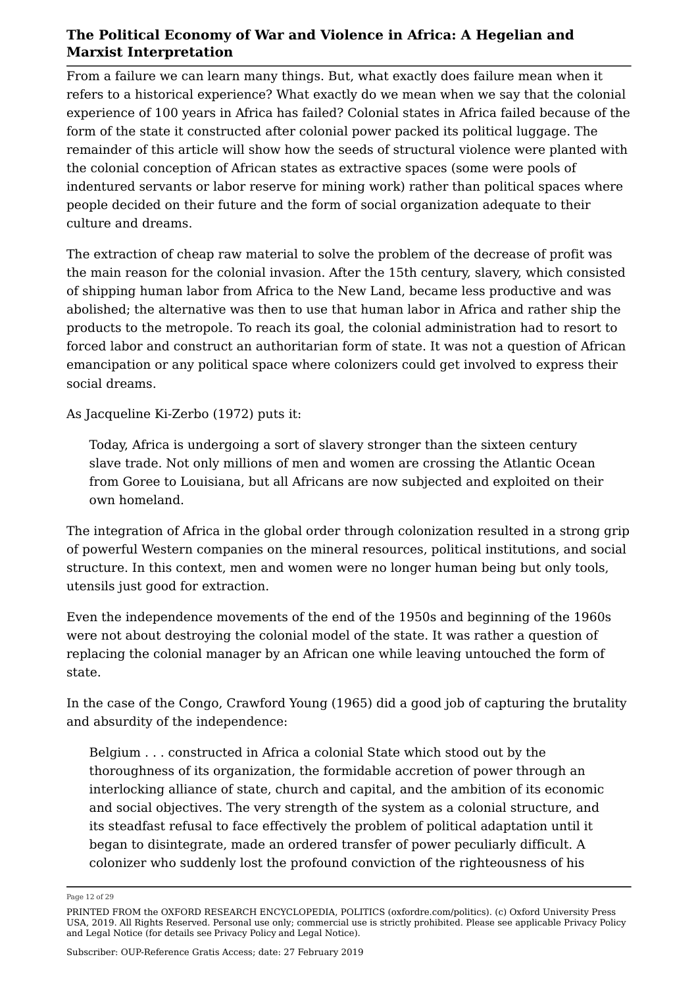From a failure we can learn many things. But, what exactly does failure mean when it refers to a historical experience? What exactly do we mean when we say that the colonial experience of 100 years in Africa has failed? Colonial states in Africa failed because of the form of the state it constructed after colonial power packed its political luggage. The remainder of this article will show how the seeds of structural violence were planted with the colonial conception of African states as extractive spaces (some were pools of indentured servants or labor reserve for mining work) rather than political spaces where people decided on their future and the form of social organization adequate to their culture and dreams.

The extraction of cheap raw material to solve the problem of the decrease of profit was the main reason for the colonial invasion. After the 15th century, slavery, which consisted of shipping human labor from Africa to the New Land, became less productive and was abolished; the alternative was then to use that human labor in Africa and rather ship the products to the metropole. To reach its goal, the colonial administration had to resort to forced labor and construct an authoritarian form of state. It was not a question of African emancipation or any political space where colonizers could get involved to express their social dreams.

As Jacqueline Ki-Zerbo (1972) puts it:

Today, Africa is undergoing a sort of slavery stronger than the sixteen century slave trade. Not only millions of men and women are crossing the Atlantic Ocean from Goree to Louisiana, but all Africans are now subjected and exploited on their own homeland.

The integration of Africa in the global order through colonization resulted in a strong grip of powerful Western companies on the mineral resources, political institutions, and social structure. In this context, men and women were no longer human being but only tools, utensils just good for extraction.

Even the independence movements of the end of the 1950s and beginning of the 1960s were not about destroying the colonial model of the state. It was rather a question of replacing the colonial manager by an African one while leaving untouched the form of state.

In the case of the Congo, Crawford Young (1965) did a good job of capturing the brutality and absurdity of the independence:

Belgium . . . constructed in Africa a colonial State which stood out by the thoroughness of its organization, the formidable accretion of power through an interlocking alliance of state, church and capital, and the ambition of its economic and social objectives. The very strength of the system as a colonial structure, and its steadfast refusal to face effectively the problem of political adaptation until it began to disintegrate, made an ordered transfer of power peculiarly difficult. A colonizer who suddenly lost the profound conviction of the righteousness of his

Page 12 of 29

PRINTED FROM the OXFORD RESEARCH ENCYCLOPEDIA, POLITICS (oxfordre.com/politics). (c) Oxford University Press USA, 2019. All Rights Reserved. Personal use only; commercial use is strictly prohibited. Please see applicable Privacy Policy and Legal Notice (for details see Privacy Policy and Legal Notice).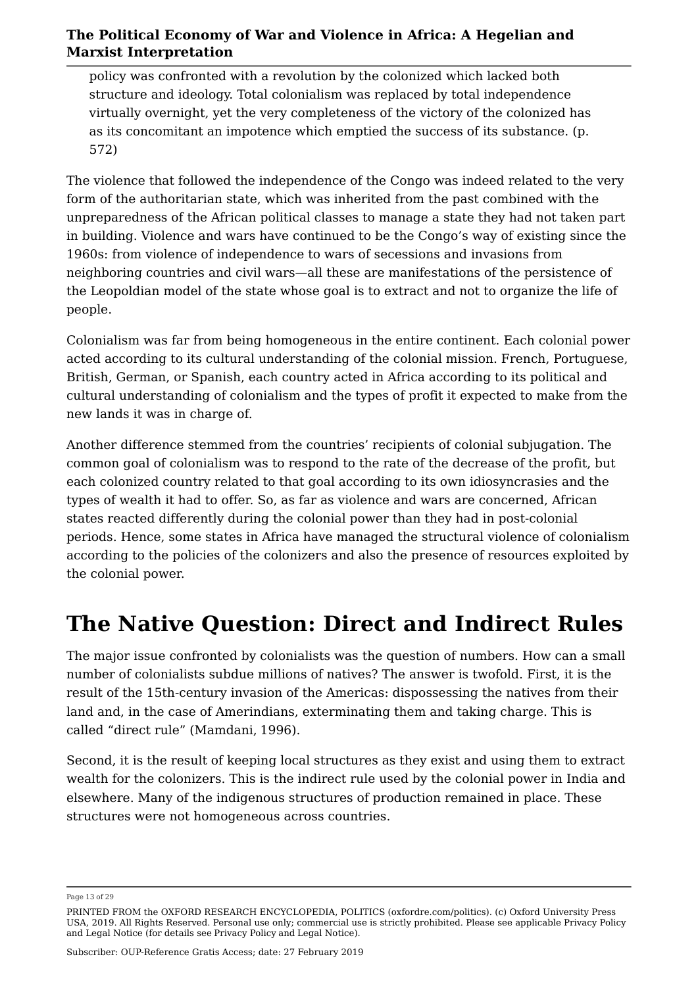policy was confronted with a revolution by the colonized which lacked both structure and ideology. Total colonialism was replaced by total independence virtually overnight, yet the very completeness of the victory of the colonized has as its concomitant an impotence which emptied the success of its substance. (p. 572)

The violence that followed the independence of the Congo was indeed related to the very form of the authoritarian state, which was inherited from the past combined with the unpreparedness of the African political classes to manage a state they had not taken part in building. Violence and wars have continued to be the Congo's way of existing since the 1960s: from violence of independence to wars of secessions and invasions from neighboring countries and civil wars—all these are manifestations of the persistence of the Leopoldian model of the state whose goal is to extract and not to organize the life of people.

Colonialism was far from being homogeneous in the entire continent. Each colonial power acted according to its cultural understanding of the colonial mission. French, Portuguese, British, German, or Spanish, each country acted in Africa according to its political and cultural understanding of colonialism and the types of profit it expected to make from the new lands it was in charge of.

Another difference stemmed from the countries' recipients of colonial subjugation. The common goal of colonialism was to respond to the rate of the decrease of the profit, but each colonized country related to that goal according to its own idiosyncrasies and the types of wealth it had to offer. So, as far as violence and wars are concerned, African states reacted differently during the colonial power than they had in post-colonial periods. Hence, some states in Africa have managed the structural violence of colonialism according to the policies of the colonizers and also the presence of resources exploited by the colonial power.

## **The Native Question: Direct and Indirect Rules**

The major issue confronted by colonialists was the question of numbers. How can a small number of colonialists subdue millions of natives? The answer is twofold. First, it is the result of the 15th-century invasion of the Americas: dispossessing the natives from their land and, in the case of Amerindians, exterminating them and taking charge. This is called "direct rule" (Mamdani, 1996).

Second, it is the result of keeping local structures as they exist and using them to extract wealth for the colonizers. This is the indirect rule used by the colonial power in India and elsewhere. Many of the indigenous structures of production remained in place. These structures were not homogeneous across countries.

Page 13 of 29

PRINTED FROM the OXFORD RESEARCH ENCYCLOPEDIA, POLITICS (oxfordre.com/politics). (c) Oxford University Press USA, 2019. All Rights Reserved. Personal use only; commercial use is strictly prohibited. Please see applicable Privacy Policy and Legal Notice (for details see Privacy Policy and Legal Notice).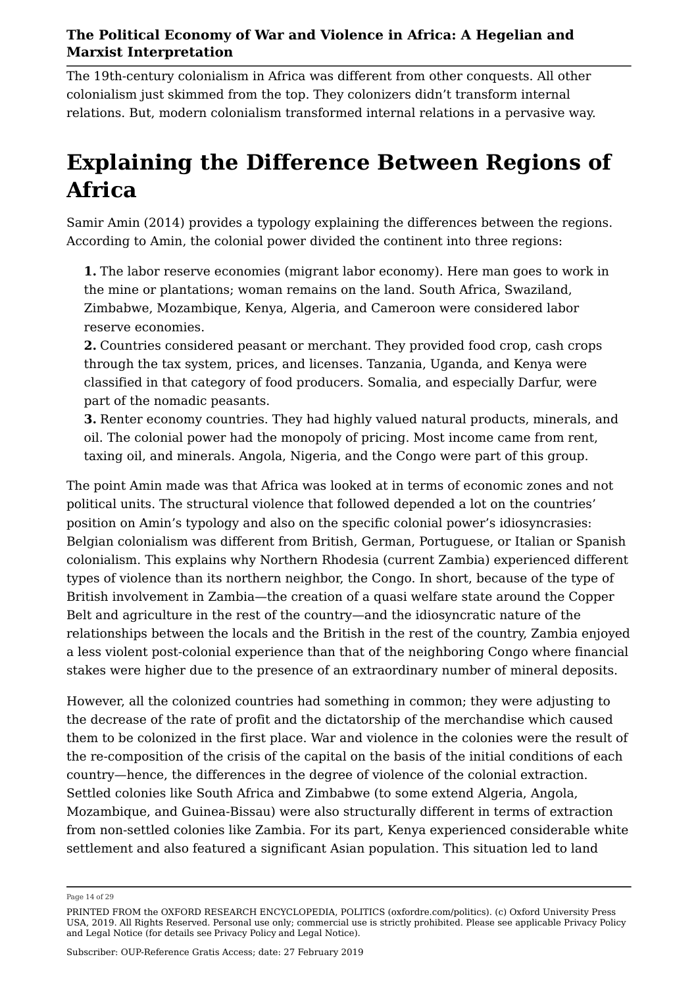The 19th-century colonialism in Africa was different from other conquests. All other colonialism just skimmed from the top. They colonizers didn't transform internal relations. But, modern colonialism transformed internal relations in a pervasive way.

# **Explaining the Difference Between Regions of Africa**

Samir Amin (2014) provides a typology explaining the differences between the regions. According to Amin, the colonial power divided the continent into three regions:

**1.** The labor reserve economies (migrant labor economy). Here man goes to work in the mine or plantations; woman remains on the land. South Africa, Swaziland, Zimbabwe, Mozambique, Kenya, Algeria, and Cameroon were considered labor reserve economies.

**2.** Countries considered peasant or merchant. They provided food crop, cash crops through the tax system, prices, and licenses. Tanzania, Uganda, and Kenya were classified in that category of food producers. Somalia, and especially Darfur, were part of the nomadic peasants.

**3.** Renter economy countries. They had highly valued natural products, minerals, and oil. The colonial power had the monopoly of pricing. Most income came from rent, taxing oil, and minerals. Angola, Nigeria, and the Congo were part of this group.

The point Amin made was that Africa was looked at in terms of economic zones and not political units. The structural violence that followed depended a lot on the countries' position on Amin's typology and also on the specific colonial power's idiosyncrasies: Belgian colonialism was different from British, German, Portuguese, or Italian or Spanish colonialism. This explains why Northern Rhodesia (current Zambia) experienced different types of violence than its northern neighbor, the Congo. In short, because of the type of British involvement in Zambia—the creation of a quasi welfare state around the Copper Belt and agriculture in the rest of the country—and the idiosyncratic nature of the relationships between the locals and the British in the rest of the country, Zambia enjoyed a less violent post-colonial experience than that of the neighboring Congo where financial stakes were higher due to the presence of an extraordinary number of mineral deposits.

However, all the colonized countries had something in common; they were adjusting to the decrease of the rate of profit and the dictatorship of the merchandise which caused them to be colonized in the first place. War and violence in the colonies were the result of the re-composition of the crisis of the capital on the basis of the initial conditions of each country—hence, the differences in the degree of violence of the colonial extraction. Settled colonies like South Africa and Zimbabwe (to some extend Algeria, Angola, Mozambique, and Guinea-Bissau) were also structurally different in terms of extraction from non-settled colonies like Zambia. For its part, Kenya experienced considerable white settlement and also featured a significant Asian population. This situation led to land

Page 14 of 29

PRINTED FROM the OXFORD RESEARCH ENCYCLOPEDIA, POLITICS (oxfordre.com/politics). (c) Oxford University Press USA, 2019. All Rights Reserved. Personal use only; commercial use is strictly prohibited. Please see applicable Privacy Policy and Legal Notice (for details see Privacy Policy and Legal Notice).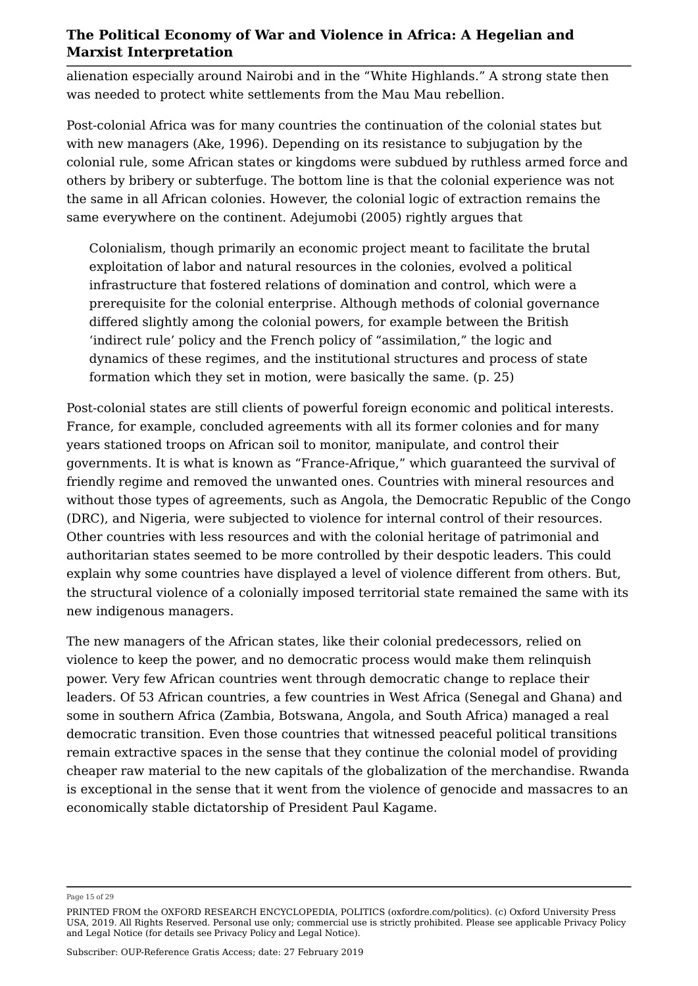alienation especially around Nairobi and in the "White Highlands." A strong state then was needed to protect white settlements from the Mau Mau rebellion.

Post-colonial Africa was for many countries the continuation of the colonial states but with new managers (Ake, 1996). Depending on its resistance to subjugation by the colonial rule, some African states or kingdoms were subdued by ruthless armed force and others by bribery or subterfuge. The bottom line is that the colonial experience was not the same in all African colonies. However, the colonial logic of extraction remains the same everywhere on the continent. Adejumobi (2005) rightly argues that

Colonialism, though primarily an economic project meant to facilitate the brutal exploitation of labor and natural resources in the colonies, evolved a political infrastructure that fostered relations of domination and control, which were a prerequisite for the colonial enterprise. Although methods of colonial governance differed slightly among the colonial powers, for example between the British 'indirect rule' policy and the French policy of "assimilation," the logic and dynamics of these regimes, and the institutional structures and process of state formation which they set in motion, were basically the same. (p. 25)

Post-colonial states are still clients of powerful foreign economic and political interests. France, for example, concluded agreements with all its former colonies and for many years stationed troops on African soil to monitor, manipulate, and control their governments. It is what is known as "France-Afrique," which guaranteed the survival of friendly regime and removed the unwanted ones. Countries with mineral resources and without those types of agreements, such as Angola, the Democratic Republic of the Congo (DRC), and Nigeria, were subjected to violence for internal control of their resources. Other countries with less resources and with the colonial heritage of patrimonial and authoritarian states seemed to be more controlled by their despotic leaders. This could explain why some countries have displayed a level of violence different from others. But, the structural violence of a colonially imposed territorial state remained the same with its new indigenous managers.

The new managers of the African states, like their colonial predecessors, relied on violence to keep the power, and no democratic process would make them relinquish power. Very few African countries went through democratic change to replace their leaders. Of 53 African countries, a few countries in West Africa (Senegal and Ghana) and some in southern Africa (Zambia, Botswana, Angola, and South Africa) managed a real democratic transition. Even those countries that witnessed peaceful political transitions remain extractive spaces in the sense that they continue the colonial model of providing cheaper raw material to the new capitals of the globalization of the merchandise. Rwanda is exceptional in the sense that it went from the violence of genocide and massacres to an economically stable dictatorship of President Paul Kagame.

Page 15 of 29

PRINTED FROM the OXFORD RESEARCH ENCYCLOPEDIA, POLITICS (oxfordre.com/politics). (c) Oxford University Press USA, 2019. All Rights Reserved. Personal use only; commercial use is strictly prohibited. Please see applicable Privacy Policy and Legal Notice (for details see Privacy Policy and Legal Notice).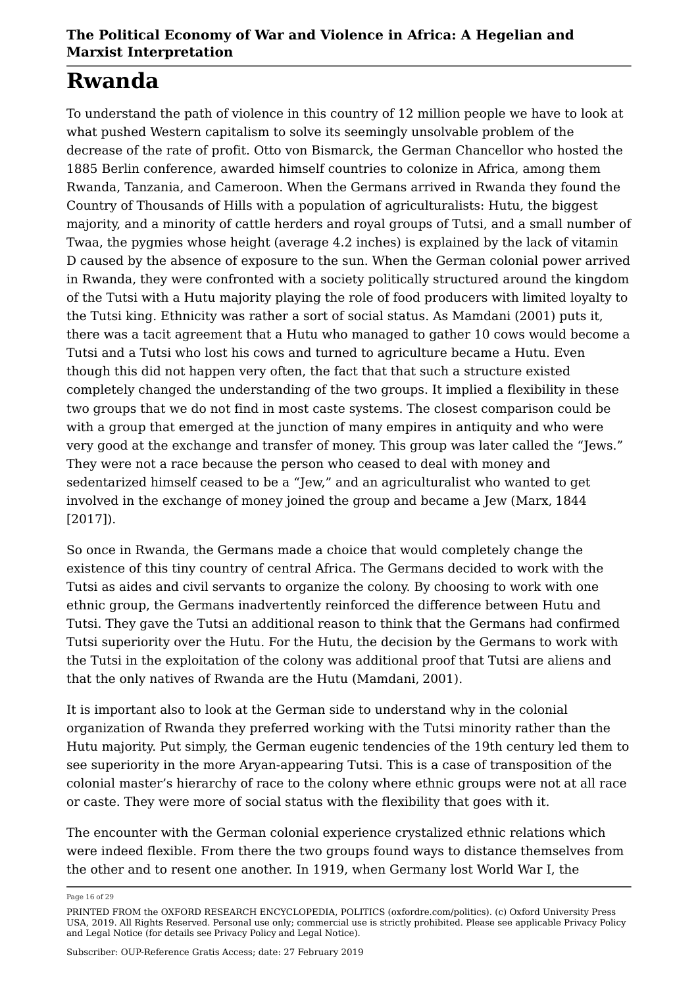## **Rwanda**

To understand the path of violence in this country of 12 million people we have to look at what pushed Western capitalism to solve its seemingly unsolvable problem of the decrease of the rate of profit. Otto von Bismarck, the German Chancellor who hosted the 1885 Berlin conference, awarded himself countries to colonize in Africa, among them Rwanda, Tanzania, and Cameroon. When the Germans arrived in Rwanda they found the Country of Thousands of Hills with a population of agriculturalists: Hutu, the biggest majority, and a minority of cattle herders and royal groups of Tutsi, and a small number of Twaa, the pygmies whose height (average 4.2 inches) is explained by the lack of vitamin D caused by the absence of exposure to the sun. When the German colonial power arrived in Rwanda, they were confronted with a society politically structured around the kingdom of the Tutsi with a Hutu majority playing the role of food producers with limited loyalty to the Tutsi king. Ethnicity was rather a sort of social status. As Mamdani (2001) puts it, there was a tacit agreement that a Hutu who managed to gather 10 cows would become a Tutsi and a Tutsi who lost his cows and turned to agriculture became a Hutu. Even though this did not happen very often, the fact that that such a structure existed completely changed the understanding of the two groups. It implied a flexibility in these two groups that we do not find in most caste systems. The closest comparison could be with a group that emerged at the junction of many empires in antiquity and who were very good at the exchange and transfer of money. This group was later called the "Jews." They were not a race because the person who ceased to deal with money and sedentarized himself ceased to be a "Jew," and an agriculturalist who wanted to get involved in the exchange of money joined the group and became a Jew (Marx, 1844 [2017]).

So once in Rwanda, the Germans made a choice that would completely change the existence of this tiny country of central Africa. The Germans decided to work with the Tutsi as aides and civil servants to organize the colony. By choosing to work with one ethnic group, the Germans inadvertently reinforced the difference between Hutu and Tutsi. They gave the Tutsi an additional reason to think that the Germans had confirmed Tutsi superiority over the Hutu. For the Hutu, the decision by the Germans to work with the Tutsi in the exploitation of the colony was additional proof that Tutsi are aliens and that the only natives of Rwanda are the Hutu (Mamdani, 2001).

It is important also to look at the German side to understand why in the colonial organization of Rwanda they preferred working with the Tutsi minority rather than the Hutu majority. Put simply, the German eugenic tendencies of the 19th century led them to see superiority in the more Aryan-appearing Tutsi. This is a case of transposition of the colonial master's hierarchy of race to the colony where ethnic groups were not at all race or caste. They were more of social status with the flexibility that goes with it.

The encounter with the German colonial experience crystalized ethnic relations which were indeed flexible. From there the two groups found ways to distance themselves from the other and to resent one another. In 1919, when Germany lost World War I, the

Page 16 of 29

PRINTED FROM the OXFORD RESEARCH ENCYCLOPEDIA, POLITICS (oxfordre.com/politics). (c) Oxford University Press USA, 2019. All Rights Reserved. Personal use only; commercial use is strictly prohibited. Please see applicable Privacy Policy and Legal Notice (for details see Privacy Policy and Legal Notice).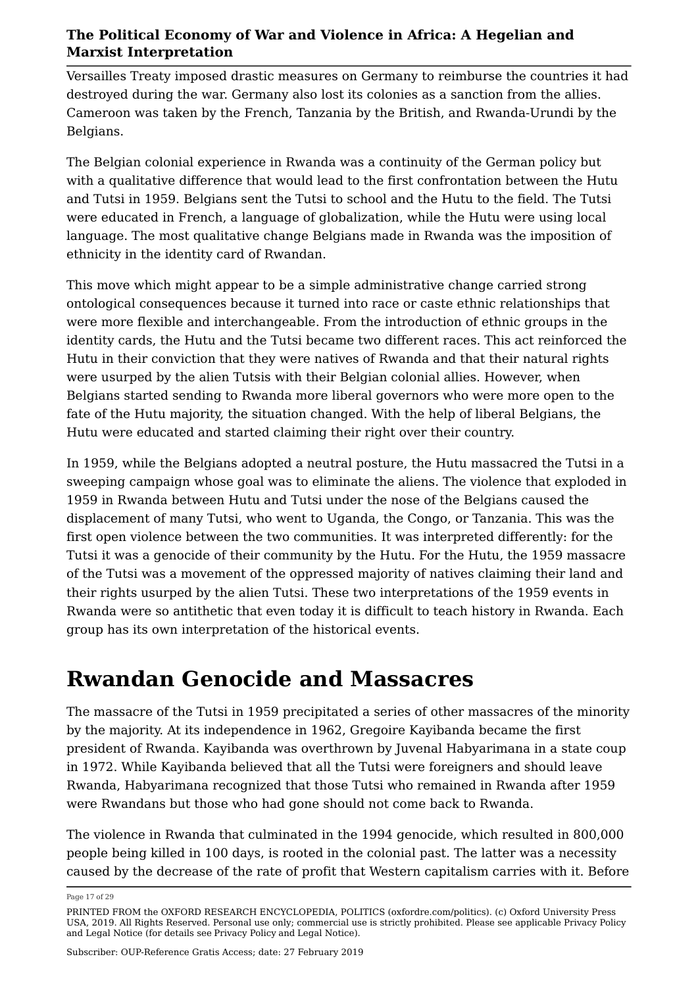Versailles Treaty imposed drastic measures on Germany to reimburse the countries it had destroyed during the war. Germany also lost its colonies as a sanction from the allies. Cameroon was taken by the French, Tanzania by the British, and Rwanda-Urundi by the Belgians.

The Belgian colonial experience in Rwanda was a continuity of the German policy but with a qualitative difference that would lead to the first confrontation between the Hutu and Tutsi in 1959. Belgians sent the Tutsi to school and the Hutu to the field. The Tutsi were educated in French, a language of globalization, while the Hutu were using local language. The most qualitative change Belgians made in Rwanda was the imposition of ethnicity in the identity card of Rwandan.

This move which might appear to be a simple administrative change carried strong ontological consequences because it turned into race or caste ethnic relationships that were more flexible and interchangeable. From the introduction of ethnic groups in the identity cards, the Hutu and the Tutsi became two different races. This act reinforced the Hutu in their conviction that they were natives of Rwanda and that their natural rights were usurped by the alien Tutsis with their Belgian colonial allies. However, when Belgians started sending to Rwanda more liberal governors who were more open to the fate of the Hutu majority, the situation changed. With the help of liberal Belgians, the Hutu were educated and started claiming their right over their country.

In 1959, while the Belgians adopted a neutral posture, the Hutu massacred the Tutsi in a sweeping campaign whose goal was to eliminate the aliens. The violence that exploded in 1959 in Rwanda between Hutu and Tutsi under the nose of the Belgians caused the displacement of many Tutsi, who went to Uganda, the Congo, or Tanzania. This was the first open violence between the two communities. It was interpreted differently: for the Tutsi it was a genocide of their community by the Hutu. For the Hutu, the 1959 massacre of the Tutsi was a movement of the oppressed majority of natives claiming their land and their rights usurped by the alien Tutsi. These two interpretations of the 1959 events in Rwanda were so antithetic that even today it is difficult to teach history in Rwanda. Each group has its own interpretation of the historical events.

# **Rwandan Genocide and Massacres**

The massacre of the Tutsi in 1959 precipitated a series of other massacres of the minority by the majority. At its independence in 1962, Gregoire Kayibanda became the first president of Rwanda. Kayibanda was overthrown by Juvenal Habyarimana in a state coup in 1972. While Kayibanda believed that all the Tutsi were foreigners and should leave Rwanda, Habyarimana recognized that those Tutsi who remained in Rwanda after 1959 were Rwandans but those who had gone should not come back to Rwanda.

The violence in Rwanda that culminated in the 1994 genocide, which resulted in 800,000 people being killed in 100 days, is rooted in the colonial past. The latter was a necessity caused by the decrease of the rate of profit that Western capitalism carries with it. Before

Page 17 of 29

PRINTED FROM the OXFORD RESEARCH ENCYCLOPEDIA, POLITICS (oxfordre.com/politics). (c) Oxford University Press USA, 2019. All Rights Reserved. Personal use only; commercial use is strictly prohibited. Please see applicable Privacy Policy and Legal Notice (for details see Privacy Policy and Legal Notice).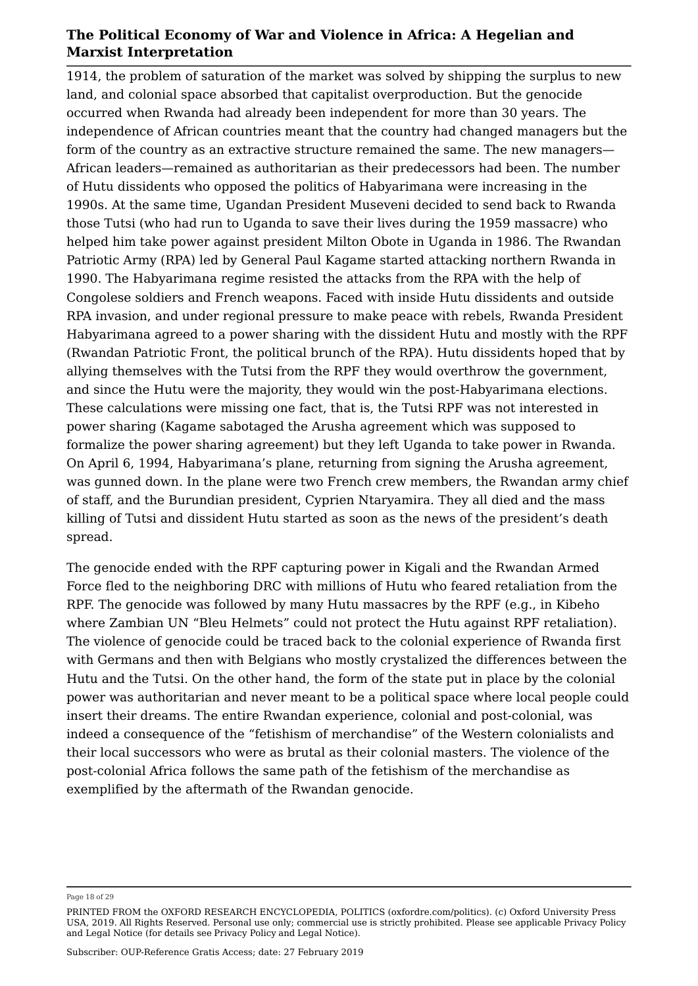1914, the problem of saturation of the market was solved by shipping the surplus to new land, and colonial space absorbed that capitalist overproduction. But the genocide occurred when Rwanda had already been independent for more than 30 years. The independence of African countries meant that the country had changed managers but the form of the country as an extractive structure remained the same. The new managers— African leaders—remained as authoritarian as their predecessors had been. The number of Hutu dissidents who opposed the politics of Habyarimana were increasing in the 1990s. At the same time, Ugandan President Museveni decided to send back to Rwanda those Tutsi (who had run to Uganda to save their lives during the 1959 massacre) who helped him take power against president Milton Obote in Uganda in 1986. The Rwandan Patriotic Army (RPA) led by General Paul Kagame started attacking northern Rwanda in 1990. The Habyarimana regime resisted the attacks from the RPA with the help of Congolese soldiers and French weapons. Faced with inside Hutu dissidents and outside RPA invasion, and under regional pressure to make peace with rebels, Rwanda President Habyarimana agreed to a power sharing with the dissident Hutu and mostly with the RPF (Rwandan Patriotic Front, the political brunch of the RPA). Hutu dissidents hoped that by allying themselves with the Tutsi from the RPF they would overthrow the government, and since the Hutu were the majority, they would win the post-Habyarimana elections. These calculations were missing one fact, that is, the Tutsi RPF was not interested in power sharing (Kagame sabotaged the Arusha agreement which was supposed to formalize the power sharing agreement) but they left Uganda to take power in Rwanda. On April 6, 1994, Habyarimana's plane, returning from signing the Arusha agreement, was gunned down. In the plane were two French crew members, the Rwandan army chief of staff, and the Burundian president, Cyprien Ntaryamira. They all died and the mass killing of Tutsi and dissident Hutu started as soon as the news of the president's death spread.

The genocide ended with the RPF capturing power in Kigali and the Rwandan Armed Force fled to the neighboring DRC with millions of Hutu who feared retaliation from the RPF. The genocide was followed by many Hutu massacres by the RPF (e.g., in Kibeho where Zambian UN "Bleu Helmets" could not protect the Hutu against RPF retaliation). The violence of genocide could be traced back to the colonial experience of Rwanda first with Germans and then with Belgians who mostly crystalized the differences between the Hutu and the Tutsi. On the other hand, the form of the state put in place by the colonial power was authoritarian and never meant to be a political space where local people could insert their dreams. The entire Rwandan experience, colonial and post-colonial, was indeed a consequence of the "fetishism of merchandise" of the Western colonialists and their local successors who were as brutal as their colonial masters. The violence of the post-colonial Africa follows the same path of the fetishism of the merchandise as exemplified by the aftermath of the Rwandan genocide.

Page 18 of 29

PRINTED FROM the OXFORD RESEARCH ENCYCLOPEDIA, POLITICS (oxfordre.com/politics). (c) Oxford University Press USA, 2019. All Rights Reserved. Personal use only; commercial use is strictly prohibited. Please see applicable Privacy Policy and Legal Notice (for details see Privacy Policy and Legal Notice).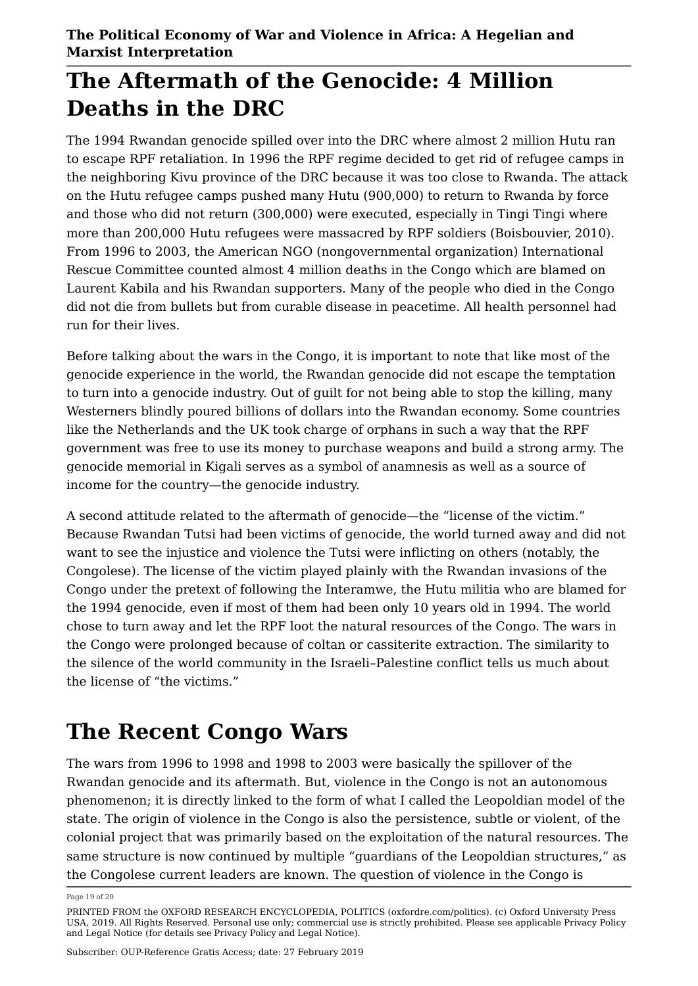## **The Aftermath of the Genocide: 4 Million Deaths in the DRC**

The 1994 Rwandan genocide spilled over into the DRC where almost 2 million Hutu ran to escape RPF retaliation. In 1996 the RPF regime decided to get rid of refugee camps in the neighboring Kivu province of the DRC because it was too close to Rwanda. The attack on the Hutu refugee camps pushed many Hutu (900,000) to return to Rwanda by force and those who did not return (300,000) were executed, especially in Tingi Tingi where more than 200,000 Hutu refugees were massacred by RPF soldiers (Boisbouvier, 2010). From 1996 to 2003, the American NGO (nongovernmental organization) International Rescue Committee counted almost 4 million deaths in the Congo which are blamed on Laurent Kabila and his Rwandan supporters. Many of the people who died in the Congo did not die from bullets but from curable disease in peacetime. All health personnel had run for their lives.

Before talking about the wars in the Congo, it is important to note that like most of the genocide experience in the world, the Rwandan genocide did not escape the temptation to turn into a genocide industry. Out of guilt for not being able to stop the killing, many Westerners blindly poured billions of dollars into the Rwandan economy. Some countries like the Netherlands and the UK took charge of orphans in such a way that the RPF government was free to use its money to purchase weapons and build a strong army. The genocide memorial in Kigali serves as a symbol of anamnesis as well as a source of income for the country—the genocide industry.

A second attitude related to the aftermath of genocide—the "license of the victim." Because Rwandan Tutsi had been victims of genocide, the world turned away and did not want to see the injustice and violence the Tutsi were inflicting on others (notably, the Congolese). The license of the victim played plainly with the Rwandan invasions of the Congo under the pretext of following the Interamwe, the Hutu militia who are blamed for the 1994 genocide, even if most of them had been only 10 years old in 1994. The world chose to turn away and let the RPF loot the natural resources of the Congo. The wars in the Congo were prolonged because of coltan or cassiterite extraction. The similarity to the silence of the world community in the Israeli–Palestine conflict tells us much about the license of "the victims."

# **The Recent Congo Wars**

The wars from 1996 to 1998 and 1998 to 2003 were basically the spillover of the Rwandan genocide and its aftermath. But, violence in the Congo is not an autonomous phenomenon; it is directly linked to the form of what I called the Leopoldian model of the state. The origin of violence in the Congo is also the persistence, subtle or violent, of the colonial project that was primarily based on the exploitation of the natural resources. The same structure is now continued by multiple "guardians of the Leopoldian structures," as the Congolese current leaders are known. The question of violence in the Congo is

Page 19 of 29

PRINTED FROM the OXFORD RESEARCH ENCYCLOPEDIA, POLITICS (oxfordre.com/politics). (c) Oxford University Press USA, 2019. All Rights Reserved. Personal use only; commercial use is strictly prohibited. Please see applicable Privacy Policy and Legal Notice (for details see Privacy Policy and Legal Notice).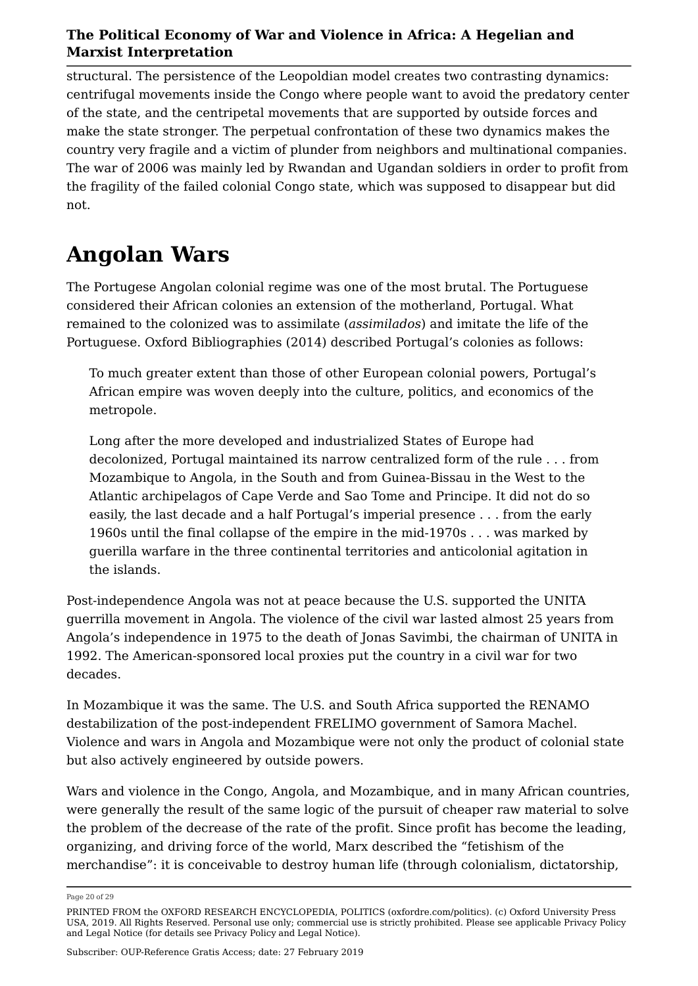structural. The persistence of the Leopoldian model creates two contrasting dynamics: centrifugal movements inside the Congo where people want to avoid the predatory center of the state, and the centripetal movements that are supported by outside forces and make the state stronger. The perpetual confrontation of these two dynamics makes the country very fragile and a victim of plunder from neighbors and multinational companies. The war of 2006 was mainly led by Rwandan and Ugandan soldiers in order to profit from the fragility of the failed colonial Congo state, which was supposed to disappear but did not.

## **Angolan Wars**

The Portugese Angolan colonial regime was one of the most brutal. The Portuguese considered their African colonies an extension of the motherland, Portugal. What remained to the colonized was to assimilate (*assimilados*) and imitate the life of the Portuguese. Oxford Bibliographies (2014) described Portugal's colonies as follows:

To much greater extent than those of other European colonial powers, Portugal's African empire was woven deeply into the culture, politics, and economics of the metropole.

Long after the more developed and industrialized States of Europe had decolonized, Portugal maintained its narrow centralized form of the rule . . . from Mozambique to Angola, in the South and from Guinea-Bissau in the West to the Atlantic archipelagos of Cape Verde and Sao Tome and Principe. It did not do so easily, the last decade and a half Portugal's imperial presence . . . from the early 1960s until the final collapse of the empire in the mid-1970s . . . was marked by guerilla warfare in the three continental territories and anticolonial agitation in the islands.

Post-independence Angola was not at peace because the U.S. supported the UNITA guerrilla movement in Angola. The violence of the civil war lasted almost 25 years from Angola's independence in 1975 to the death of Jonas Savimbi, the chairman of UNITA in 1992. The American-sponsored local proxies put the country in a civil war for two decades.

In Mozambique it was the same. The U.S. and South Africa supported the RENAMO destabilization of the post-independent FRELIMO government of Samora Machel. Violence and wars in Angola and Mozambique were not only the product of colonial state but also actively engineered by outside powers.

Wars and violence in the Congo, Angola, and Mozambique, and in many African countries, were generally the result of the same logic of the pursuit of cheaper raw material to solve the problem of the decrease of the rate of the profit. Since profit has become the leading, organizing, and driving force of the world, Marx described the "fetishism of the merchandise": it is conceivable to destroy human life (through colonialism, dictatorship,

Page 20 of 29

PRINTED FROM the OXFORD RESEARCH ENCYCLOPEDIA, POLITICS (oxfordre.com/politics). (c) Oxford University Press USA, 2019. All Rights Reserved. Personal use only; commercial use is strictly prohibited. Please see applicable Privacy Policy and Legal Notice (for details see Privacy Policy and Legal Notice).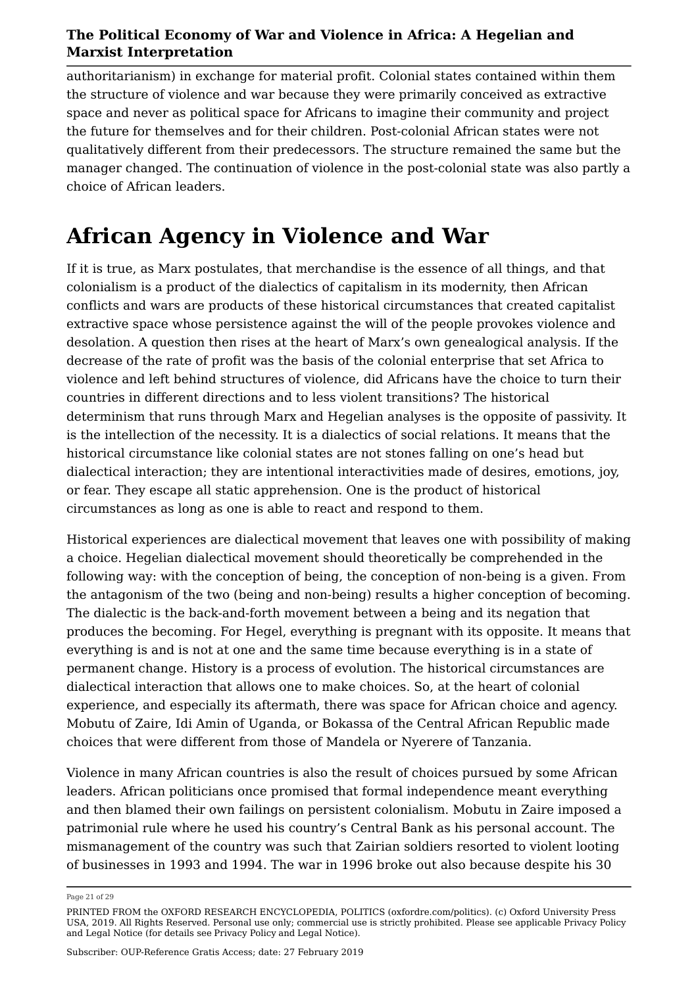authoritarianism) in exchange for material profit. Colonial states contained within them the structure of violence and war because they were primarily conceived as extractive space and never as political space for Africans to imagine their community and project the future for themselves and for their children. Post-colonial African states were not qualitatively different from their predecessors. The structure remained the same but the manager changed. The continuation of violence in the post-colonial state was also partly a choice of African leaders.

## **African Agency in Violence and War**

If it is true, as Marx postulates, that merchandise is the essence of all things, and that colonialism is a product of the dialectics of capitalism in its modernity, then African conflicts and wars are products of these historical circumstances that created capitalist extractive space whose persistence against the will of the people provokes violence and desolation. A question then rises at the heart of Marx's own genealogical analysis. If the decrease of the rate of profit was the basis of the colonial enterprise that set Africa to violence and left behind structures of violence, did Africans have the choice to turn their countries in different directions and to less violent transitions? The historical determinism that runs through Marx and Hegelian analyses is the opposite of passivity. It is the intellection of the necessity. It is a dialectics of social relations. It means that the historical circumstance like colonial states are not stones falling on one's head but dialectical interaction; they are intentional interactivities made of desires, emotions, joy, or fear. They escape all static apprehension. One is the product of historical circumstances as long as one is able to react and respond to them.

Historical experiences are dialectical movement that leaves one with possibility of making a choice. Hegelian dialectical movement should theoretically be comprehended in the following way: with the conception of being, the conception of non-being is a given. From the antagonism of the two (being and non-being) results a higher conception of becoming. The dialectic is the back-and-forth movement between a being and its negation that produces the becoming. For Hegel, everything is pregnant with its opposite. It means that everything is and is not at one and the same time because everything is in a state of permanent change. History is a process of evolution. The historical circumstances are dialectical interaction that allows one to make choices. So, at the heart of colonial experience, and especially its aftermath, there was space for African choice and agency. Mobutu of Zaire, Idi Amin of Uganda, or Bokassa of the Central African Republic made choices that were different from those of Mandela or Nyerere of Tanzania.

Violence in many African countries is also the result of choices pursued by some African leaders. African politicians once promised that formal independence meant everything and then blamed their own failings on persistent colonialism. Mobutu in Zaire imposed a patrimonial rule where he used his country's Central Bank as his personal account. The mismanagement of the country was such that Zairian soldiers resorted to violent looting of businesses in 1993 and 1994. The war in 1996 broke out also because despite his 30

Page 21 of 29

PRINTED FROM the OXFORD RESEARCH ENCYCLOPEDIA, POLITICS (oxfordre.com/politics). (c) Oxford University Press USA, 2019. All Rights Reserved. Personal use only; commercial use is strictly prohibited. Please see applicable Privacy Policy and Legal Notice (for details see Privacy Policy and Legal Notice).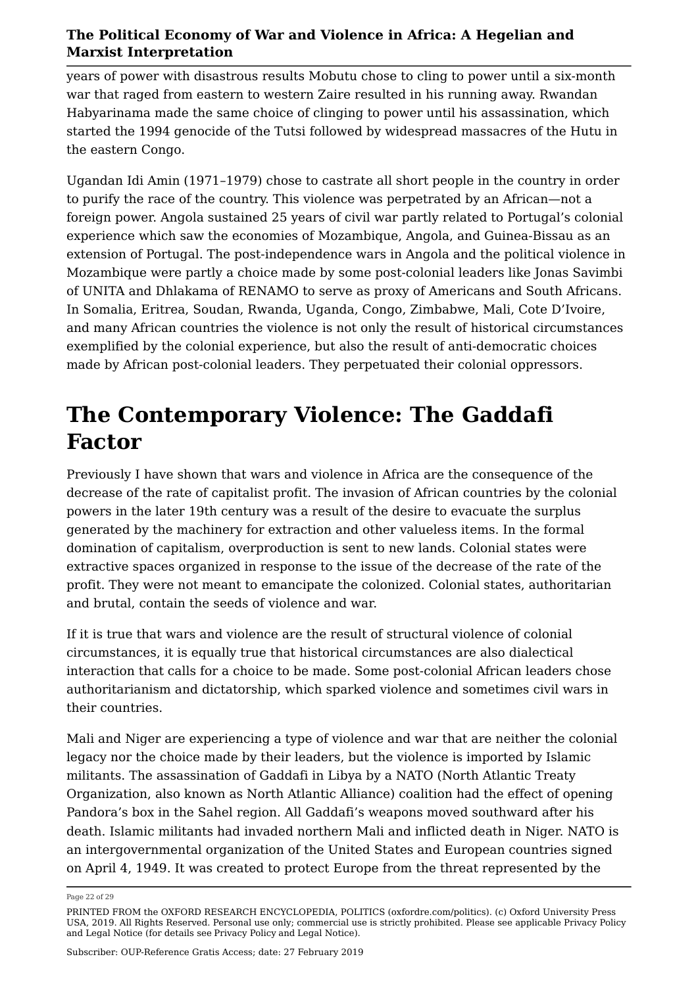years of power with disastrous results Mobutu chose to cling to power until a six-month war that raged from eastern to western Zaire resulted in his running away. Rwandan Habyarinama made the same choice of clinging to power until his assassination, which started the 1994 genocide of the Tutsi followed by widespread massacres of the Hutu in the eastern Congo.

Ugandan Idi Amin (1971–1979) chose to castrate all short people in the country in order to purify the race of the country. This violence was perpetrated by an African—not a foreign power. Angola sustained 25 years of civil war partly related to Portugal's colonial experience which saw the economies of Mozambique, Angola, and Guinea-Bissau as an extension of Portugal. The post-independence wars in Angola and the political violence in Mozambique were partly a choice made by some post-colonial leaders like Jonas Savimbi of UNITA and Dhlakama of RENAMO to serve as proxy of Americans and South Africans. In Somalia, Eritrea, Soudan, Rwanda, Uganda, Congo, Zimbabwe, Mali, Cote D'Ivoire, and many African countries the violence is not only the result of historical circumstances exemplified by the colonial experience, but also the result of anti-democratic choices made by African post-colonial leaders. They perpetuated their colonial oppressors.

## **The Contemporary Violence: The Gaddafi Factor**

Previously I have shown that wars and violence in Africa are the consequence of the decrease of the rate of capitalist profit. The invasion of African countries by the colonial powers in the later 19th century was a result of the desire to evacuate the surplus generated by the machinery for extraction and other valueless items. In the formal domination of capitalism, overproduction is sent to new lands. Colonial states were extractive spaces organized in response to the issue of the decrease of the rate of the profit. They were not meant to emancipate the colonized. Colonial states, authoritarian and brutal, contain the seeds of violence and war.

If it is true that wars and violence are the result of structural violence of colonial circumstances, it is equally true that historical circumstances are also dialectical interaction that calls for a choice to be made. Some post-colonial African leaders chose authoritarianism and dictatorship, which sparked violence and sometimes civil wars in their countries.

Mali and Niger are experiencing a type of violence and war that are neither the colonial legacy nor the choice made by their leaders, but the violence is imported by Islamic militants. The assassination of Gaddafi in Libya by a NATO (North Atlantic Treaty Organization, also known as North Atlantic Alliance) coalition had the effect of opening Pandora's box in the Sahel region. All Gaddafi's weapons moved southward after his death. Islamic militants had invaded northern Mali and inflicted death in Niger. NATO is an intergovernmental organization of the United States and European countries signed on April 4, 1949. It was created to protect Europe from the threat represented by the

Page 22 of 29

PRINTED FROM the OXFORD RESEARCH ENCYCLOPEDIA, POLITICS (oxfordre.com/politics). (c) Oxford University Press USA, 2019. All Rights Reserved. Personal use only; commercial use is strictly prohibited. Please see applicable Privacy Policy and Legal Notice (for details see Privacy Policy and Legal Notice).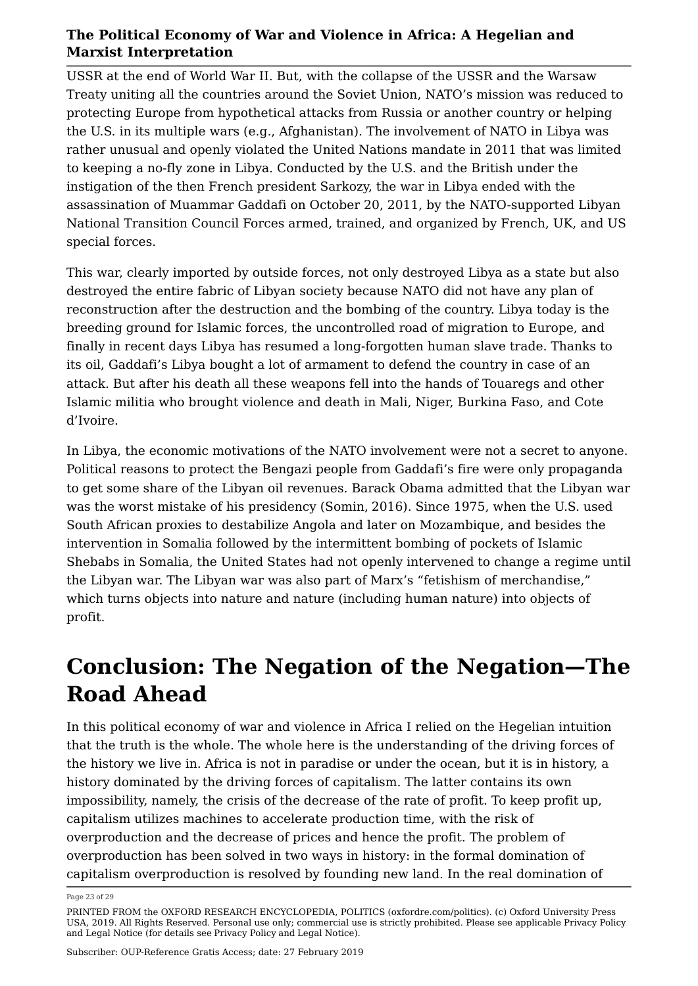USSR at the end of World War II. But, with the collapse of the USSR and the Warsaw Treaty uniting all the countries around the Soviet Union, NATO's mission was reduced to protecting Europe from hypothetical attacks from Russia or another country or helping the U.S. in its multiple wars (e.g., Afghanistan). The involvement of NATO in Libya was rather unusual and openly violated the United Nations mandate in 2011 that was limited to keeping a no-fly zone in Libya. Conducted by the U.S. and the British under the instigation of the then French president Sarkozy, the war in Libya ended with the assassination of Muammar Gaddafi on October 20, 2011, by the NATO-supported Libyan National Transition Council Forces armed, trained, and organized by French, UK, and US special forces.

This war, clearly imported by outside forces, not only destroyed Libya as a state but also destroyed the entire fabric of Libyan society because NATO did not have any plan of reconstruction after the destruction and the bombing of the country. Libya today is the breeding ground for Islamic forces, the uncontrolled road of migration to Europe, and finally in recent days Libya has resumed a long-forgotten human slave trade. Thanks to its oil, Gaddafi's Libya bought a lot of armament to defend the country in case of an attack. But after his death all these weapons fell into the hands of Touaregs and other Islamic militia who brought violence and death in Mali, Niger, Burkina Faso, and Cote d'Ivoire.

In Libya, the economic motivations of the NATO involvement were not a secret to anyone. Political reasons to protect the Bengazi people from Gaddafi's fire were only propaganda to get some share of the Libyan oil revenues. Barack Obama admitted that the Libyan war was the worst mistake of his presidency (Somin, 2016). Since 1975, when the U.S. used South African proxies to destabilize Angola and later on Mozambique, and besides the intervention in Somalia followed by the intermittent bombing of pockets of Islamic Shebabs in Somalia, the United States had not openly intervened to change a regime until the Libyan war. The Libyan war was also part of Marx's "fetishism of merchandise," which turns objects into nature and nature (including human nature) into objects of profit.

## **Conclusion: The Negation of the Negation—The Road Ahead**

In this political economy of war and violence in Africa I relied on the Hegelian intuition that the truth is the whole. The whole here is the understanding of the driving forces of the history we live in. Africa is not in paradise or under the ocean, but it is in history, a history dominated by the driving forces of capitalism. The latter contains its own impossibility, namely, the crisis of the decrease of the rate of profit. To keep profit up, capitalism utilizes machines to accelerate production time, with the risk of overproduction and the decrease of prices and hence the profit. The problem of overproduction has been solved in two ways in history: in the formal domination of capitalism overproduction is resolved by founding new land. In the real domination of

Page 23 of 29

PRINTED FROM the OXFORD RESEARCH ENCYCLOPEDIA, POLITICS (oxfordre.com/politics). (c) Oxford University Press USA, 2019. All Rights Reserved. Personal use only; commercial use is strictly prohibited. Please see applicable Privacy Policy and Legal Notice (for details see Privacy Policy and Legal Notice).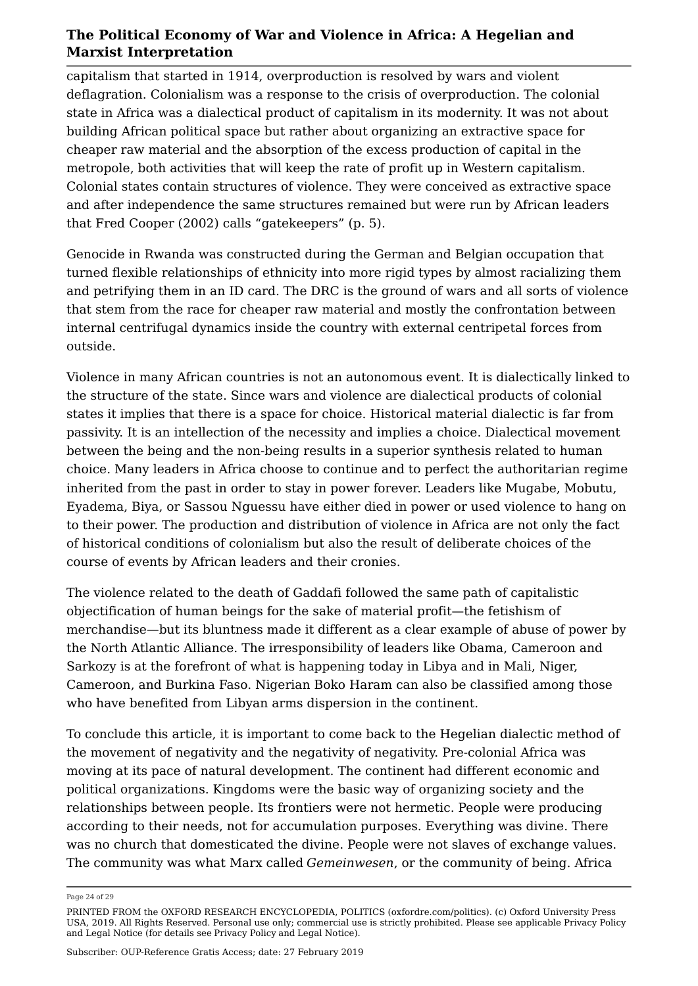capitalism that started in 1914, overproduction is resolved by wars and violent deflagration. Colonialism was a response to the crisis of overproduction. The colonial state in Africa was a dialectical product of capitalism in its modernity. It was not about building African political space but rather about organizing an extractive space for cheaper raw material and the absorption of the excess production of capital in the metropole, both activities that will keep the rate of profit up in Western capitalism. Colonial states contain structures of violence. They were conceived as extractive space and after independence the same structures remained but were run by African leaders that Fred Cooper (2002) calls "gatekeepers" (p. 5).

Genocide in Rwanda was constructed during the German and Belgian occupation that turned flexible relationships of ethnicity into more rigid types by almost racializing them and petrifying them in an ID card. The DRC is the ground of wars and all sorts of violence that stem from the race for cheaper raw material and mostly the confrontation between internal centrifugal dynamics inside the country with external centripetal forces from outside.

Violence in many African countries is not an autonomous event. It is dialectically linked to the structure of the state. Since wars and violence are dialectical products of colonial states it implies that there is a space for choice. Historical material dialectic is far from passivity. It is an intellection of the necessity and implies a choice. Dialectical movement between the being and the non-being results in a superior synthesis related to human choice. Many leaders in Africa choose to continue and to perfect the authoritarian regime inherited from the past in order to stay in power forever. Leaders like Mugabe, Mobutu, Eyadema, Biya, or Sassou Nguessu have either died in power or used violence to hang on to their power. The production and distribution of violence in Africa are not only the fact of historical conditions of colonialism but also the result of deliberate choices of the course of events by African leaders and their cronies.

The violence related to the death of Gaddafi followed the same path of capitalistic objectification of human beings for the sake of material profit—the fetishism of merchandise—but its bluntness made it different as a clear example of abuse of power by the North Atlantic Alliance. The irresponsibility of leaders like Obama, Cameroon and Sarkozy is at the forefront of what is happening today in Libya and in Mali, Niger, Cameroon, and Burkina Faso. Nigerian Boko Haram can also be classified among those who have benefited from Libyan arms dispersion in the continent.

To conclude this article, it is important to come back to the Hegelian dialectic method of the movement of negativity and the negativity of negativity. Pre-colonial Africa was moving at its pace of natural development. The continent had different economic and political organizations. Kingdoms were the basic way of organizing society and the relationships between people. Its frontiers were not hermetic. People were producing according to their needs, not for accumulation purposes. Everything was divine. There was no church that domesticated the divine. People were not slaves of exchange values. The community was what Marx called *Gemeinwesen*, or the community of being. Africa

Page 24 of 29

PRINTED FROM the OXFORD RESEARCH ENCYCLOPEDIA, POLITICS (oxfordre.com/politics). (c) Oxford University Press USA, 2019. All Rights Reserved. Personal use only; commercial use is strictly prohibited. Please see applicable Privacy Policy and Legal Notice (for details see Privacy Policy and Legal Notice).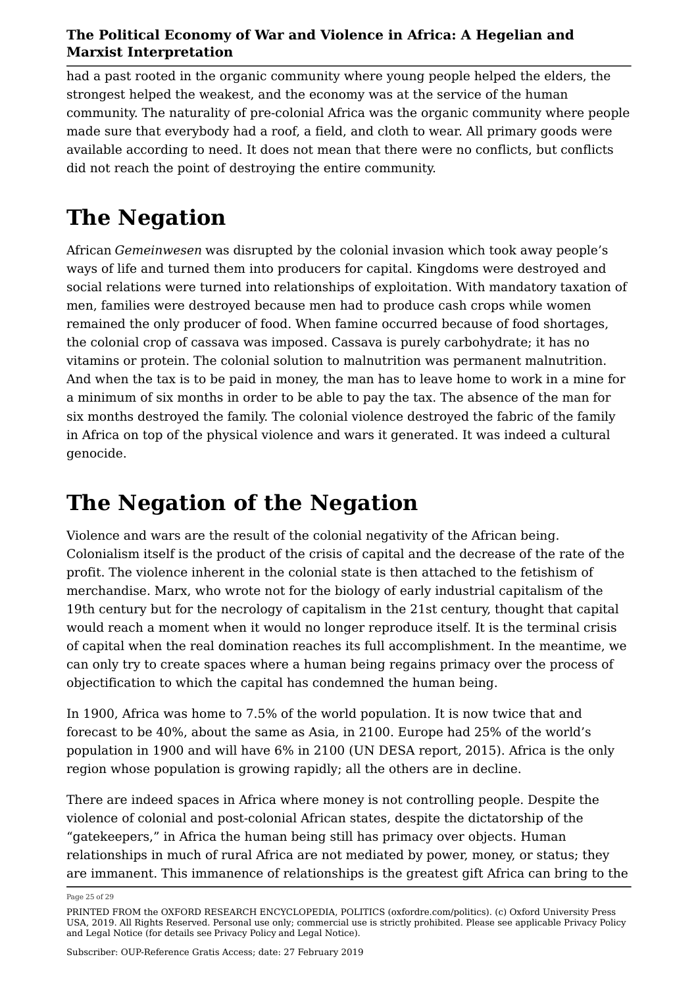had a past rooted in the organic community where young people helped the elders, the strongest helped the weakest, and the economy was at the service of the human community. The naturality of pre-colonial Africa was the organic community where people made sure that everybody had a roof, a field, and cloth to wear. All primary goods were available according to need. It does not mean that there were no conflicts, but conflicts did not reach the point of destroying the entire community.

# **The Negation**

African *Gemeinwesen* was disrupted by the colonial invasion which took away people's ways of life and turned them into producers for capital. Kingdoms were destroyed and social relations were turned into relationships of exploitation. With mandatory taxation of men, families were destroyed because men had to produce cash crops while women remained the only producer of food. When famine occurred because of food shortages, the colonial crop of cassava was imposed. Cassava is purely carbohydrate; it has no vitamins or protein. The colonial solution to malnutrition was permanent malnutrition. And when the tax is to be paid in money, the man has to leave home to work in a mine for a minimum of six months in order to be able to pay the tax. The absence of the man for six months destroyed the family. The colonial violence destroyed the fabric of the family in Africa on top of the physical violence and wars it generated. It was indeed a cultural genocide.

## **The Negation of the Negation**

Violence and wars are the result of the colonial negativity of the African being. Colonialism itself is the product of the crisis of capital and the decrease of the rate of the profit. The violence inherent in the colonial state is then attached to the fetishism of merchandise. Marx, who wrote not for the biology of early industrial capitalism of the 19th century but for the necrology of capitalism in the 21st century, thought that capital would reach a moment when it would no longer reproduce itself. It is the terminal crisis of capital when the real domination reaches its full accomplishment. In the meantime, we can only try to create spaces where a human being regains primacy over the process of objectification to which the capital has condemned the human being.

In 1900, Africa was home to 7.5% of the world population. It is now twice that and forecast to be 40%, about the same as Asia, in 2100. Europe had 25% of the world's population in 1900 and will have 6% in 2100 (UN DESA report, 2015). Africa is the only region whose population is growing rapidly; all the others are in decline.

There are indeed spaces in Africa where money is not controlling people. Despite the violence of colonial and post-colonial African states, despite the dictatorship of the "gatekeepers," in Africa the human being still has primacy over objects. Human relationships in much of rural Africa are not mediated by power, money, or status; they are immanent. This immanence of relationships is the greatest gift Africa can bring to the

Page 25 of 29

PRINTED FROM the OXFORD RESEARCH ENCYCLOPEDIA, POLITICS (oxfordre.com/politics). (c) Oxford University Press USA, 2019. All Rights Reserved. Personal use only; commercial use is strictly prohibited. Please see applicable Privacy Policy and Legal Notice (for details see Privacy Policy and Legal Notice).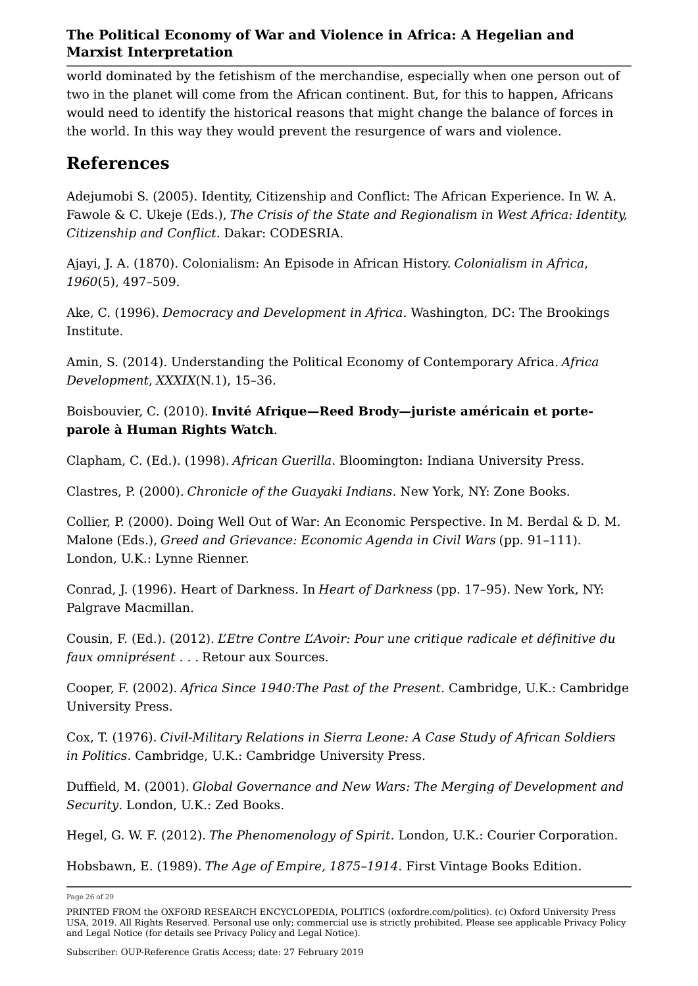world dominated by the fetishism of the merchandise, especially when one person out of two in the planet will come from the African continent. But, for this to happen, Africans would need to identify the historical reasons that might change the balance of forces in the world. In this way they would prevent the resurgence of wars and violence.

### **References**

Adejumobi S. (2005). Identity, Citizenship and Conflict: The African Experience. In W. A. Fawole & C. Ukeje (Eds.), *The Crisis of the State and Regionalism in West Africa: Identity, Citizenship and Conflict*. Dakar: CODESRIA.

Ajayi, J. A. (1870). Colonialism: An Episode in African History. *Colonialism in Africa*, *1960*(5), 497–509.

Ake, C. (1996). *Democracy and Development in Africa*. Washington, DC: The Brookings Institute.

Amin, S. (2014). Understanding the Political Economy of Contemporary Africa. *Africa Development*, *XXXIX*(N.1), 15–36.

Boisbouvier, C. (2010). **Invité Afrique—Reed Brody—juriste américain et porteparole à Human Rights Watch**.

Clapham, C. (Ed.). (1998). *African Guerilla*. Bloomington: Indiana University Press.

Clastres, P. (2000). *Chronicle of the Guayaki Indians*. New York, NY: Zone Books.

Collier, P. (2000). Doing Well Out of War: An Economic Perspective. In M. Berdal & D. M. Malone (Eds.), *Greed and Grievance: Economic Agenda in Civil Wars* (pp. 91–111). London, U.K.: Lynne Rienner.

Conrad, J. (1996). Heart of Darkness. In *Heart of Darkness* (pp. 17–95). New York, NY: Palgrave Macmillan.

Cousin, F. (Ed.). (2012). *L'Etre Contre L'Avoir: Pour une critique radicale et définitive du faux omniprésent . . .* Retour aux Sources.

Cooper, F. (2002). *Africa Since 1940:The Past of the Present*. Cambridge, U.K.: Cambridge University Press.

Cox, T. (1976). *Civil-Military Relations in Sierra Leone: A Case Study of African Soldiers in Politics*. Cambridge, U.K.: Cambridge University Press.

Duffield, M. (2001). *Global Governance and New Wars: The Merging of Development and Security*. London, U.K.: Zed Books.

Hegel, G. W. F. (2012). *The Phenomenology of Spirit*. London, U.K.: Courier Corporation.

Hobsbawn, E. (1989). *The Age of Empire, 1875–1914*. First Vintage Books Edition.

Page 26 of 29

Subscriber: OUP-Reference Gratis Access; date: 27 February 2019

PRINTED FROM the OXFORD RESEARCH ENCYCLOPEDIA, POLITICS (oxfordre.com/politics). (c) Oxford University Press USA, 2019. All Rights Reserved. Personal use only; commercial use is strictly prohibited. Please see applicable Privacy Policy and Legal Notice (for details see Privacy Policy and Legal Notice).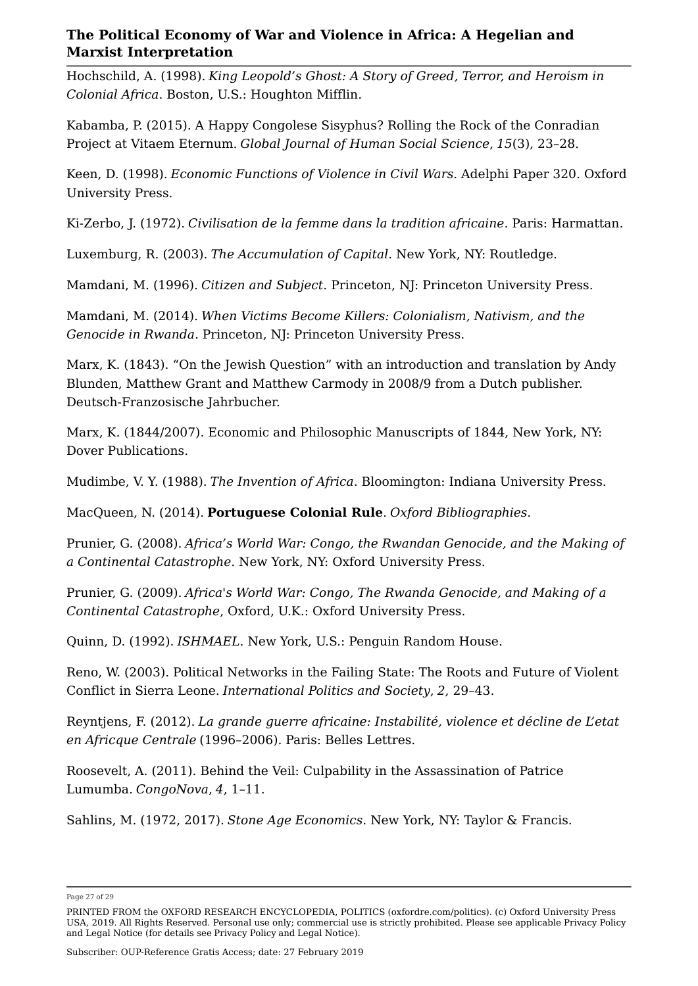Hochschild, A. (1998). *King Leopold's Ghost: A Story of Greed, Terror, and Heroism in Colonial Africa*. Boston, U.S.: Houghton Mifflin.

Kabamba, P. (2015). A Happy Congolese Sisyphus? Rolling the Rock of the Conradian Project at Vitaem Eternum. *Global Journal of Human Social Science*, *15*(3), 23–28.

Keen, D. (1998). *Economic Functions of Violence in Civil Wars*. Adelphi Paper 320. Oxford University Press.

Ki-Zerbo, J. (1972). *Civilisation de la femme dans la tradition africaine*. Paris: Harmattan.

Luxemburg, R. (2003). *The Accumulation of Capital*. New York, NY: Routledge.

Mamdani, M. (1996). *Citizen and Subject*. Princeton, NJ: Princeton University Press.

Mamdani, M. (2014). *When Victims Become Killers: Colonialism, Nativism, and the Genocide in Rwanda*. Princeton, NJ: Princeton University Press.

Marx, K. (1843). "On the Jewish Question" with an introduction and translation by Andy Blunden, Matthew Grant and Matthew Carmody in 2008/9 from a Dutch publisher. Deutsch-Franzosische Jahrbucher.

Marx, K. (1844/2007). Economic and Philosophic Manuscripts of 1844, New York, NY: Dover Publications.

Mudimbe, V. Y. (1988). *The Invention of Africa*. Bloomington: Indiana University Press.

MacQueen, N. (2014). **Portuguese Colonial Rule**. *Oxford Bibliographies*.

Prunier, G. (2008). *Africa's World War: Congo, the Rwandan Genocide, and the Making of a Continental Catastrophe*. New York, NY: Oxford University Press.

Prunier, G. (2009). *Africa's World War: Congo, The Rwanda Genocide, and Making of a Continental Catastrophe*, Oxford, U.K.: Oxford University Press.

Quinn, D. (1992). *ISHMAEL*. New York, U.S.: Penguin Random House.

Reno, W. (2003). Political Networks in the Failing State: The Roots and Future of Violent Conflict in Sierra Leone. *International Politics and Society*, *2*, 29–43.

Reyntjens, F. (2012). *La grande guerre africaine: Instabilité, violence et décline de L'etat en Africque Centrale* (1996–2006). Paris: Belles Lettres.

Roosevelt, A. (2011). Behind the Veil: Culpability in the Assassination of Patrice Lumumba. *CongoNova*, *4*, 1–11.

Sahlins, M. (1972, 2017). *Stone Age Economics*. New York, NY: Taylor & Francis.

Page 27 of 29

PRINTED FROM the OXFORD RESEARCH ENCYCLOPEDIA, POLITICS (oxfordre.com/politics). (c) Oxford University Press USA, 2019. All Rights Reserved. Personal use only; commercial use is strictly prohibited. Please see applicable Privacy Policy and Legal Notice (for details see Privacy Policy and Legal Notice).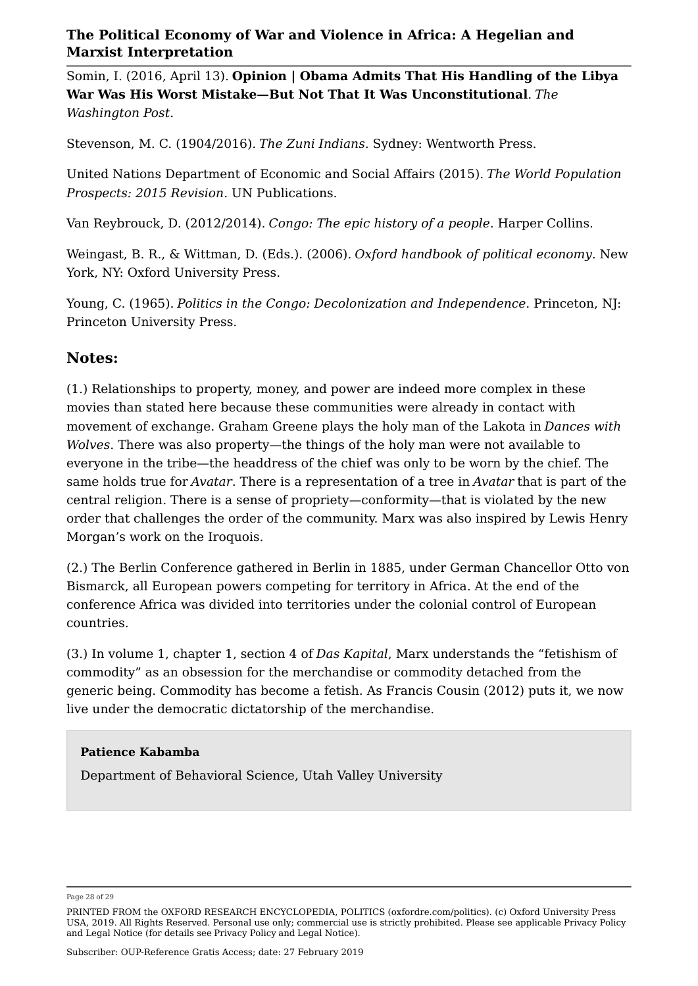Somin, I. (2016, April 13). **Opinion | Obama Admits That His Handling of the Libya War Was His Worst Mistake—But Not That It Was Unconstitutional**. *The Washington Post*.

Stevenson, M. C. (1904/2016). *The Zuni Indians*. Sydney: Wentworth Press.

United Nations Department of Economic and Social Affairs (2015). *The World Population Prospects: 2015 Revision*. UN Publications.

Van Reybrouck, D. (2012/2014). *Congo: The epic history of a people*. Harper Collins.

Weingast, B. R., & Wittman, D. (Eds.). (2006). *Oxford handbook of political economy*. New York, NY: Oxford University Press.

Young, C. (1965). *Politics in the Congo: Decolonization and Independence*. Princeton, NJ: Princeton University Press.

#### **Notes:**

(1.) Relationships to property, money, and power are indeed more complex in these movies than stated here because these communities were already in contact with movement of exchange. Graham Greene plays the holy man of the Lakota in *Dances with Wolves*. There was also property—the things of the holy man were not available to everyone in the tribe—the headdress of the chief was only to be worn by the chief. The same holds true for *Avatar*. There is a representation of a tree in *Avatar* that is part of the central religion. There is a sense of propriety—conformity—that is violated by the new order that challenges the order of the community. Marx was also inspired by Lewis Henry Morgan's work on the Iroquois.

(2.) The Berlin Conference gathered in Berlin in 1885, under German Chancellor Otto von Bismarck, all European powers competing for territory in Africa. At the end of the conference Africa was divided into territories under the colonial control of European countries.

(3.) In volume 1, chapter 1, section 4 of *Das Kapital*, Marx understands the "fetishism of commodity" as an obsession for the merchandise or commodity detached from the generic being. Commodity has become a fetish. As Francis Cousin (2012) puts it, we now live under the democratic dictatorship of the merchandise.

#### **Patience Kabamba**

Department of Behavioral Science, Utah Valley University

Page 28 of 29

PRINTED FROM the OXFORD RESEARCH ENCYCLOPEDIA, POLITICS (oxfordre.com/politics). (c) Oxford University Press USA, 2019. All Rights Reserved. Personal use only; commercial use is strictly prohibited. Please see applicable Privacy Policy and Legal Notice (for details see Privacy Policy and Legal Notice).